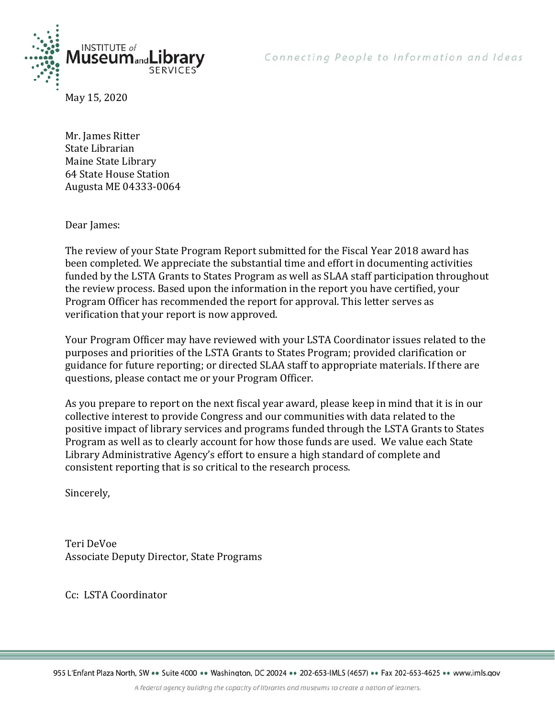



May 15, 2020

Mr. James Ritter State Librarian Maine State Library 64 State House Station Augusta ME 04333-0064

Dear James:

The review of your State Program Report submitted for the Fiscal Year 2018 award has been completed. We appreciate the substantial time and effort in documenting activities funded by the LSTA Grants to States Program as well as SLAA staff participation throughout the review process. Based upon the information in the report you have certified, your Program Officer has recommended the report for approval. This letter serves as verification that your report is now approved.

Your Program Officer may have reviewed with your LSTA Coordinator issues related to the purposes and priorities of the LSTA Grants to States Program; provided clarification or guidance for future reporting; or directed SLAA staff to appropriate materials. If there are questions, please contact me or your Program Officer.

As you prepare to report on the next fiscal year award, please keep in mind that it is in our collective interest to provide Congress and our communities with data related to the positive impact of library services and programs funded through the LSTA Grants to States Program as well as to clearly account for how those funds are used. We value each State Library Administrative Agency's effort to ensure a high standard of complete and consistent reporting that is so critical to the research process.

Sincerely,

Teri DeVoe Associate Deputy Director, State Programs

Cc: LSTA Coordinator

955 L'Enfant Plaza North, SW ·· Suite 4000 ·· Washington, DC 20024 ·· 202-653-IMLS (4657) ·· Fax 202-653-4625 ·· www.imls.gov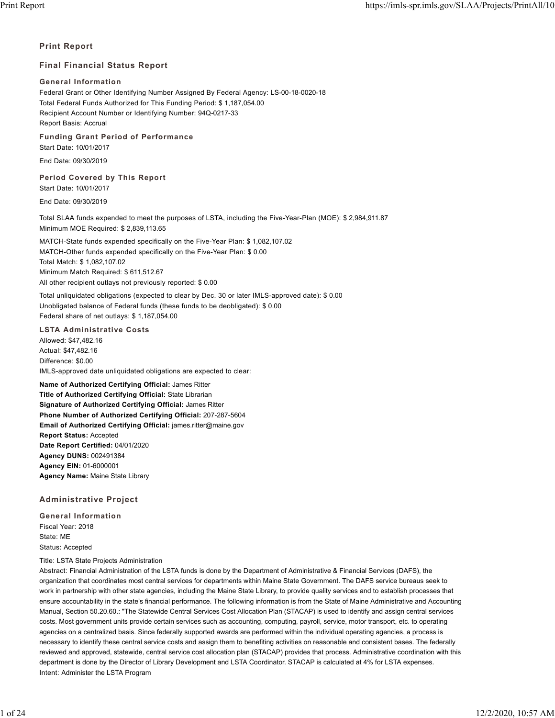### **Print Report**

### **Final Financial Status Report**

### **General Information**

Federal Grant or Other Identifying Number Assigned By Federal Agency: LS-00-18-0020-18 Total Federal Funds Authorized for This Funding Period: \$ 1,187,054.00 Recipient Account Number or Identifying Number: 94Q-0217-33 Report Basis: Accrual

**Funding Grant Period of Performance**

Start Date: 10/01/2017

End Date: 09/30/2019

### **Period Covered by This Report**

Start Date: 10/01/2017

End Date: 09/30/2019

Total SLAA funds expended to meet the purposes of LSTA, including the Five-Year-Plan (MOE): \$ 2,984,911.87 Minimum MOE Required: \$ 2,839,113.65

MATCH-State funds expended specifically on the Five-Year Plan: \$ 1,082,107.02 MATCH-Other funds expended specifically on the Five-Year Plan: \$ 0.00 Total Match: \$ 1,082,107.02 Minimum Match Required: \$ 611,512.67 All other recipient outlays not previously reported: \$ 0.00

Total unliquidated obligations (expected to clear by Dec. 30 or later IMLS-approved date): \$ 0.00 Unobligated balance of Federal funds (these funds to be deobligated): \$ 0.00 Federal share of net outlays: \$ 1,187,054.00

### **LSTA Administrative Costs**

Allowed: \$47,482.16 Actual: \$47,482.16 Difference: \$0.00 IMLS-approved date unliquidated obligations are expected to clear:

**Name of Authorized Certifying Official:** James Ritter **Title of Authorized Certifying Official:** State Librarian **Signature of Authorized Certifying Official:** James Ritter **Phone Number of Authorized Certifying Official:** 207-287-5604 **Email of Authorized Certifying Official:** james.ritter@maine.gov **Report Status:** Accepted **Date Report Certified:** 04/01/2020 **Agency DUNS:** 002491384 **Agency EIN:** 01-6000001 **Agency Name:** Maine State Library

### **Administrative Project**

**General Information** Fiscal Year: 2018 State: ME Status: Accepted

Title: LSTA State Projects Administration

Abstract: Financial Administration of the LSTA funds is done by the Department of Administrative & Financial Services (DAFS), the organization that coordinates most central services for departments within Maine State Government. The DAFS service bureaus seek to work in partnership with other state agencies, including the Maine State Library, to provide quality services and to establish processes that ensure accountability in the state's financial performance. The following information is from the State of Maine Administrative and Accounting Manual, Section 50.20.60.: "The Statewide Central Services Cost Allocation Plan (STACAP) is used to identify and assign central services costs. Most government units provide certain services such as accounting, computing, payroll, service, motor transport, etc. to operating agencies on a centralized basis. Since federally supported awards are performed within the individual operating agencies, a process is necessary to identify these central service costs and assign them to benefiting activities on reasonable and consistent bases. The federally reviewed and approved, statewide, central service cost allocation plan (STACAP) provides that process. Administrative coordination with this department is done by the Director of Library Development and LSTA Coordinator. STACAP is calculated at 4% for LSTA expenses. Intent: Administer the LSTA Program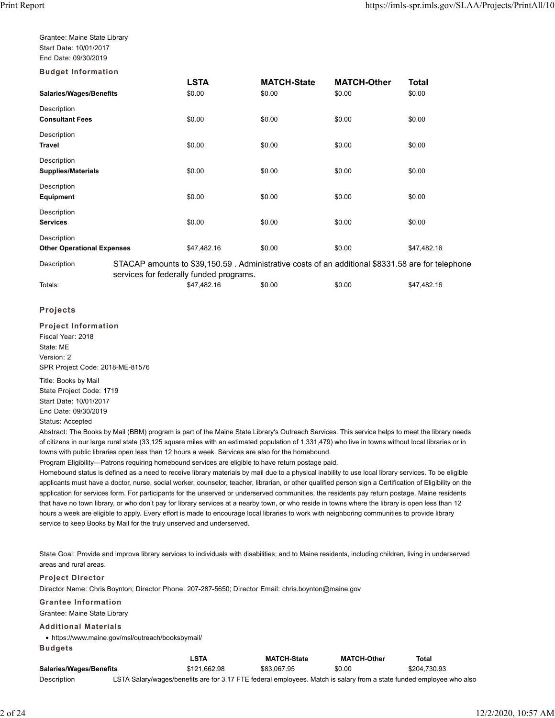Grantee: Maine State Library Start Date: 10/01/2017 End Date: 09/30/2019

**Budget Information**

|                                   |                                         | LSTA        | <b>MATCH-State</b> | <b>MATCH-Other</b>                                                                               | Total       |  |
|-----------------------------------|-----------------------------------------|-------------|--------------------|--------------------------------------------------------------------------------------------------|-------------|--|
| Salaries/Wages/Benefits           |                                         | \$0.00      | \$0.00             | \$0.00                                                                                           | \$0.00      |  |
| Description                       |                                         |             |                    |                                                                                                  |             |  |
| <b>Consultant Fees</b>            |                                         | \$0.00      | \$0.00             | \$0.00                                                                                           | \$0.00      |  |
| Description                       |                                         |             |                    |                                                                                                  |             |  |
| Travel                            |                                         | \$0.00      | \$0.00             | \$0.00                                                                                           | \$0.00      |  |
| Description                       |                                         |             |                    |                                                                                                  |             |  |
| <b>Supplies/Materials</b>         |                                         | \$0.00      | \$0.00             | \$0.00                                                                                           | \$0.00      |  |
| Description                       |                                         |             |                    |                                                                                                  |             |  |
| Equipment                         |                                         | \$0.00      | \$0.00             | \$0.00                                                                                           | \$0.00      |  |
| Description                       |                                         |             |                    |                                                                                                  |             |  |
| <b>Services</b>                   |                                         | \$0.00      | \$0.00             | \$0.00                                                                                           | \$0.00      |  |
| Description                       |                                         |             |                    |                                                                                                  |             |  |
| <b>Other Operational Expenses</b> |                                         | \$47,482.16 | \$0.00             | \$0.00                                                                                           | \$47,482.16 |  |
| Description                       |                                         |             |                    | STACAP amounts to \$39,150.59. Administrative costs of an additional \$8331.58 are for telephone |             |  |
|                                   | services for federally funded programs. |             |                    |                                                                                                  |             |  |
| Totals:                           |                                         | \$47,482.16 | \$0.00             | \$0.00                                                                                           | \$47,482.16 |  |

### **Projects**

**Project Information** Fiscal Year: 2018 State: ME Version: 2 SPR Project Code: 2018-ME-81576

Title: Books by Mail State Project Code: 1719 Start Date: 10/01/2017 End Date: 09/30/2019 Status: Accepted

Abstract: The Books by Mail (BBM) program is part of the Maine State Library's Outreach Services. This service helps to meet the library needs of citizens in our large rural state (33,125 square miles with an estimated population of 1,331,479) who live in towns without local libraries or in towns with public libraries open less than 12 hours a week. Services are also for the homebound.

Program Eligibility—Patrons requiring homebound services are eligible to have return postage paid.

Homebound status is defined as a need to receive library materials by mail due to a physical inability to use local library services. To be eligible applicants must have a doctor, nurse, social worker, counselor, teacher, librarian, or other qualified person sign a Certification of Eligibility on the application for services form. For participants for the unserved or underserved communities, the residents pay return postage. Maine residents that have no town library, or who don't pay for library services at a nearby town, or who reside in towns where the library is open less than 12 hours a week are eligible to apply. Every effort is made to encourage local libraries to work with neighboring communities to provide library service to keep Books by Mail for the truly unserved and underserved.

State Goal: Provide and improve library services to individuals with disabilities; and to Maine residents, including children, living in underserved areas and rural areas.

#### **Project Director**

Director Name: Chris Boynton; Director Phone: 207-287-5650; Director Email: chris.boynton@maine.gov

### **Grantee Information**

Grantee: Maine State Library

### **Additional Materials**

https://www.maine.gov/msl/outreach/booksbymail/ **Budgets**

|                                |                                                                                                                      | <b>LSTA</b>  | <b>MATCH-State</b> | <b>MATCH-Other</b> | Total        |
|--------------------------------|----------------------------------------------------------------------------------------------------------------------|--------------|--------------------|--------------------|--------------|
| <b>Salaries/Wages/Benefits</b> |                                                                                                                      | \$121.662.98 | \$83.067.95        | \$0.00             | \$204.730.93 |
| Description                    | LSTA Salary/wages/benefits are for 3.17 FTE federal employees. Match is salary from a state funded employee who also |              |                    |                    |              |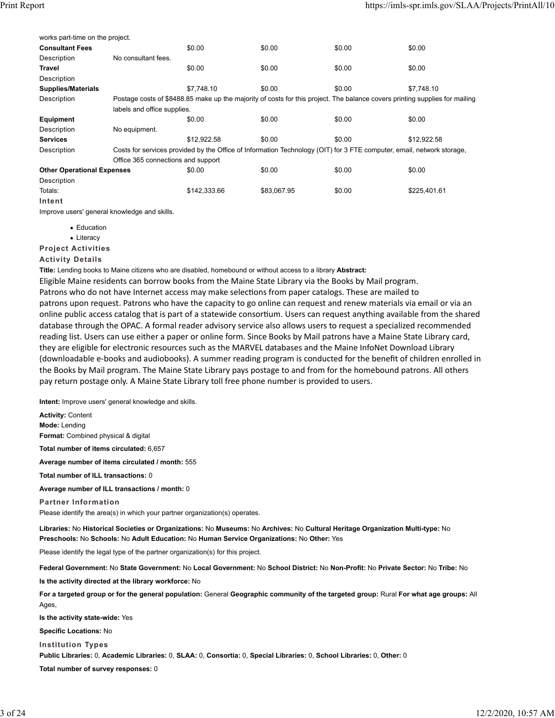| works part-time on the project.   |                                                                                                                       |                                                                                                                             |             |        |              |  |
|-----------------------------------|-----------------------------------------------------------------------------------------------------------------------|-----------------------------------------------------------------------------------------------------------------------------|-------------|--------|--------------|--|
| <b>Consultant Fees</b>            |                                                                                                                       | \$0.00                                                                                                                      | \$0.00      | \$0.00 | \$0.00       |  |
| Description                       | No consultant fees.                                                                                                   |                                                                                                                             |             |        |              |  |
| <b>Travel</b>                     |                                                                                                                       | \$0.00                                                                                                                      | \$0.00      | \$0.00 | \$0.00       |  |
| Description                       |                                                                                                                       |                                                                                                                             |             |        |              |  |
| <b>Supplies/Materials</b>         |                                                                                                                       | \$7.748.10                                                                                                                  | \$0.00      | \$0.00 | \$7.748.10   |  |
| Description                       |                                                                                                                       | Postage costs of \$8488.85 make up the majority of costs for this project. The balance covers printing supplies for mailing |             |        |              |  |
|                                   | labels and office supplies.                                                                                           |                                                                                                                             |             |        |              |  |
| Equipment                         |                                                                                                                       | \$0.00                                                                                                                      | \$0.00      | \$0.00 | \$0.00       |  |
| Description                       | No equipment.                                                                                                         |                                                                                                                             |             |        |              |  |
| <b>Services</b>                   |                                                                                                                       | \$12.922.58                                                                                                                 | \$0.00      | \$0.00 | \$12,922.58  |  |
| Description                       | Costs for services provided by the Office of Information Technology (OIT) for 3 FTE computer, email, network storage, |                                                                                                                             |             |        |              |  |
|                                   | Office 365 connections and support                                                                                    |                                                                                                                             |             |        |              |  |
| <b>Other Operational Expenses</b> |                                                                                                                       | \$0.00                                                                                                                      | \$0.00      | \$0.00 | \$0.00       |  |
| Description                       |                                                                                                                       |                                                                                                                             |             |        |              |  |
| Totals:                           |                                                                                                                       | \$142,333.66                                                                                                                | \$83,067.95 | \$0.00 | \$225,401.61 |  |
| Intent                            |                                                                                                                       |                                                                                                                             |             |        |              |  |

Improve users' general knowledge and skills.

- Education
- Literacy

**Project Activities**

### **Activity Details**

**Title:** Lending books to Maine citizens who are disabled, homebound or without access to a library **Abstract:**

Eligible Maine residents can borrow books from the Maine State Library via the Books by Mail program. Patrons who do not have Internet access may make selections from paper catalogs. These are mailed to patrons upon request. Patrons who have the capacity to go online can request and renew materials via email or via an online public access catalog that is part of a statewide consortium. Users can request anything available from the shared database through the OPAC. A formal reader advisory service also allows users to request a specialized recommended reading list. Users can use either a paper or online form. Since Books by Mail patrons have a Maine State Library card, they are eligible for electronic resources such as the MARVEL databases and the Maine InfoNet Download Library (downloadable e‐books and audiobooks). A summer reading program is conducted for the benefit of children enrolled in the Books by Mail program. The Maine State Library pays postage to and from for the homebound patrons. All others pay return postage only. A Maine State Library toll free phone number is provided to users.

**Intent:** Improve users' general knowledge and skills.

**Activity:** Content **Mode:** Lending **Format:** Combined physical & digital

**Total number of items circulated:** 6,657

**Average number of items circulated / month:** 555

**Total number of ILL transactions:** 0

**Average number of ILL transactions / month:** 0

**Partner Information** Please identify the area(s) in which your partner organization(s) operates.

**Libraries:** No **Historical Societies or Organizations:** No **Museums:** No **Archives:** No **Cultural Heritage Organization Multi-type:** No **Preschools:** No **Schools:** No **Adult Education:** No **Human Service Organizations:** No **Other:** Yes

Please identify the legal type of the partner organization(s) for this project.

**Federal Government:** No **State Government:** No **Local Government:** No **School District:** No **Non-Profit:** No **Private Sector:** No **Tribe:** No **Is the activity directed at the library workforce:** No

**For a targeted group or for the general population:** General **Geographic community of the targeted group:** Rural **For what age groups:** All Ages,

**Is the activity state-wide:** Yes

**Specific Locations:** No

**Institution Types**

**Public Libraries:** 0, **Academic Libraries:** 0, **SLAA:** 0, **Consortia:** 0, **Special Libraries:** 0, **School Libraries:** 0, **Other:** 0

**Total number of survey responses:** 0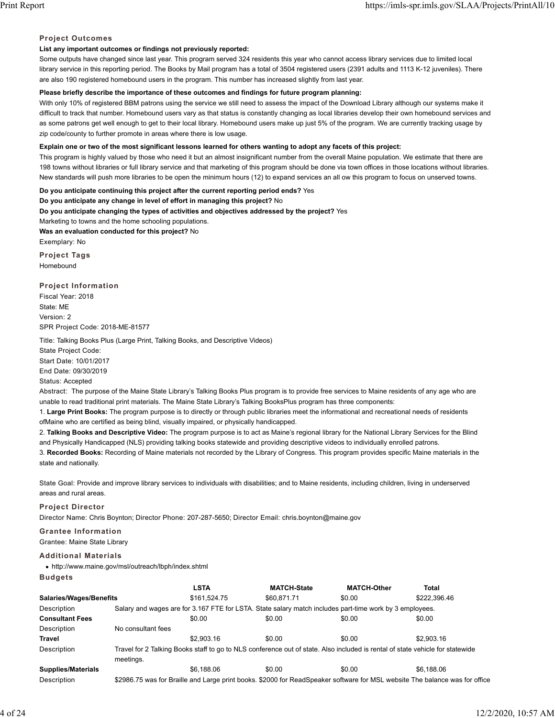### **Project Outcomes**

# **List any important outcomes or findings not previously reported:**

Some outputs have changed since last year. This program served 324 residents this year who cannot access library services due to limited local library service in this reporting period. The Books by Mail program has a total of 3504 registered users (2391 adults and 1113 K-12 juveniles). There are also 190 registered homebound users in the program. This number has increased slightly from last year.

# **Please briefly describe the importance of these outcomes and findings for future program planning:**

With only 10% of registered BBM patrons using the service we still need to assess the impact of the Download Library although our systems make it difficult to track that number. Homebound users vary as that status is constantly changing as local libraries develop their own homebound services and as some patrons get well enough to get to their local library. Homebound users make up just 5% of the program. We are currently tracking usage by zip code/county to further promote in areas where there is low usage.

# **Explain one or two of the most significant lessons learned for others wanting to adopt any facets of this project:**

This program is highly valued by those who need it but an almost insignificant number from the overall Maine population. We estimate that there are 198 towns without libraries or full library service and that marketing of this program should be done via town offices in those locations without libraries. New standards will push more libraries to be open the minimum hours (12) to expand services an all ow this program to focus on unserved towns.

**Do you anticipate continuing this project after the current reporting period ends?** Yes **Do you anticipate any change in level of effort in managing this project?** No **Do you anticipate changing the types of activities and objectives addressed by the project?** Yes Marketing to towns and the home schooling populations. **Was an evaluation conducted for this project?** No Exemplary: No

**Project Tags** Homebound

**Project Information** Fiscal Year: 2018 State: ME Version: 2 SPR Project Code: 2018-ME-81577

Title: Talking Books Plus (Large Print, Talking Books, and Descriptive Videos)

State Project Code: Start Date: 10/01/2017

End Date: 09/30/2019

Status: Accepted

Abstract: The purpose of the Maine State Library's Talking Books Plus program is to provide free services to Maine residents of any age who are unable to read traditional print materials. The Maine State Library's Talking BooksPlus program has three components:

1. **Large Print Books:** The program purpose is to directly or through public libraries meet the informational and recreational needs of residents ofMaine who are certified as being blind, visually impaired, or physically handicapped.

2. **Talking Books and Descriptive Video:** The program purpose is to act as Maine's regional library for the National Library Services for the Blind and Physically Handicapped (NLS) providing talking books statewide and providing descriptive videos to individually enrolled patrons.

3. **Recorded Books:** Recording of Maine materials not recorded by the Library of Congress. This program provides specific Maine materials in the state and nationally.

State Goal: Provide and improve library services to individuals with disabilities; and to Maine residents, including children, living in underserved areas and rural areas.

### **Project Director**

Director Name: Chris Boynton; Director Phone: 207-287-5650; Director Email: chris.boynton@maine.gov

# **Grantee Information**

Grantee: Maine State Library

# **Additional Materials**

http://www.maine.gov/msl/outreach/lbph/index.shtml

# **Budgets**

|                           |                    | <b>LSTA</b>  | <b>MATCH-State</b>                                                                                                            | <b>MATCH-Other</b> | Total                                                                                                                       |
|---------------------------|--------------------|--------------|-------------------------------------------------------------------------------------------------------------------------------|--------------------|-----------------------------------------------------------------------------------------------------------------------------|
| Salaries/Wages/Benefits   |                    | \$161.524.75 | \$60.871.71                                                                                                                   | \$0.00             | \$222,396.46                                                                                                                |
| Description               |                    |              | Salary and wages are for 3.167 FTE for LSTA. State salary match includes part-time work by 3 employees.                       |                    |                                                                                                                             |
| <b>Consultant Fees</b>    |                    | \$0.00       | \$0.00                                                                                                                        | \$0.00             | \$0.00                                                                                                                      |
| Description               | No consultant fees |              |                                                                                                                               |                    |                                                                                                                             |
| <b>Travel</b>             |                    | \$2,903.16   | \$0.00                                                                                                                        | \$0.00             | \$2,903.16                                                                                                                  |
| Description               | meetings.          |              | Travel for 2 Talking Books staff to go to NLS conference out of state. Also included is rental of state vehicle for statewide |                    |                                                                                                                             |
| <b>Supplies/Materials</b> |                    | \$6.188.06   | \$0.00                                                                                                                        | \$0.00             | \$6.188.06                                                                                                                  |
| Description               |                    |              |                                                                                                                               |                    | \$2986.75 was for Braille and Large print books. \$2000 for ReadSpeaker software for MSL website The balance was for office |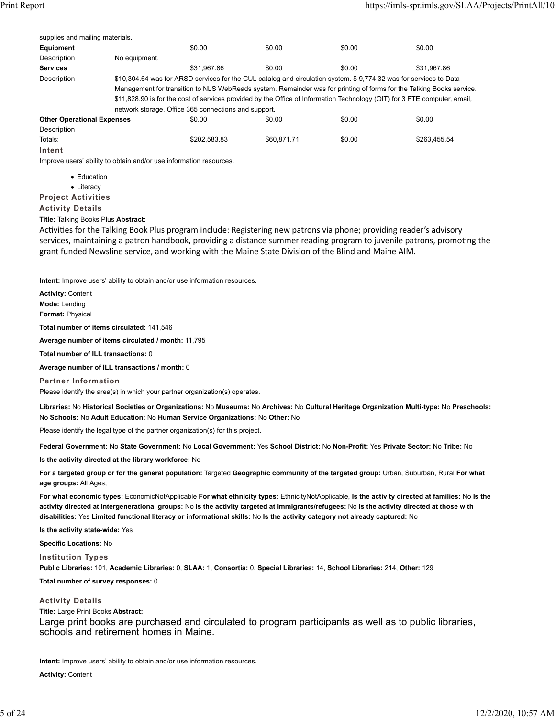| supplies and mailing materials.   |               |                                                      |             |                                                                                                                           |              |
|-----------------------------------|---------------|------------------------------------------------------|-------------|---------------------------------------------------------------------------------------------------------------------------|--------------|
| Equipment                         |               | \$0.00                                               | \$0.00      | \$0.00                                                                                                                    | \$0.00       |
| Description                       | No equipment. |                                                      |             |                                                                                                                           |              |
| <b>Services</b>                   |               | \$31.967.86                                          | \$0.00      | \$0.00                                                                                                                    | \$31.967.86  |
| Description                       |               |                                                      |             | \$10,304.64 was for ARSD services for the CUL catalog and circulation system. \$9,774.32 was for services to Data         |              |
|                                   |               |                                                      |             | Management for transition to NLS WebReads system. Remainder was for printing of forms for the Talking Books service.      |              |
|                                   |               |                                                      |             | \$11,828.90 is for the cost of services provided by the Office of Information Technology (OIT) for 3 FTE computer, email, |              |
|                                   |               | network storage, Office 365 connections and support. |             |                                                                                                                           |              |
| <b>Other Operational Expenses</b> |               | \$0.00                                               | \$0.00      | \$0.00                                                                                                                    | \$0.00       |
| Description                       |               |                                                      |             |                                                                                                                           |              |
| Totals:                           |               | \$202.583.83                                         | \$60.871.71 | \$0.00                                                                                                                    | \$263.455.54 |
| Intent                            |               |                                                      |             |                                                                                                                           |              |

Improve users' ability to obtain and/or use information resources.

- Education
- Literacy

**Project Activities**

**Activity Details**

**Title:** Talking Books Plus **Abstract:**

Activities for the Talking Book Plus program include: Registering new patrons via phone; providing reader's advisory services, maintaining a patron handbook, providing a distance summer reading program to juvenile patrons, promoting the grant funded Newsline service, and working with the Maine State Division of the Blind and Maine AIM.

**Intent:** Improve users' ability to obtain and/or use information resources.

**Activity:** Content **Mode:** Lending **Format:** Physical

**Total number of items circulated:** 141,546

**Average number of items circulated / month:** 11,795

**Total number of ILL transactions:** 0

**Average number of ILL transactions / month:** 0

**Partner Information**

Please identify the area(s) in which your partner organization(s) operates.

**Libraries:** No **Historical Societies or Organizations:** No **Museums:** No **Archives:** No **Cultural Heritage Organization Multi-type:** No **Preschools:** No **Schools:** No **Adult Education:** No **Human Service Organizations:** No **Other:** No

Please identify the legal type of the partner organization(s) for this project.

**Federal Government:** No **State Government:** No **Local Government:** Yes **School District:** No **Non-Profit:** Yes **Private Sector:** No **Tribe:** No

**Is the activity directed at the library workforce:** No

**For a targeted group or for the general population:** Targeted **Geographic community of the targeted group:** Urban, Suburban, Rural **For what age groups:** All Ages,

**For what economic types:** EconomicNotApplicable **For what ethnicity types:** EthnicityNotApplicable, **Is the activity directed at families:** No **Is the activity directed at intergenerational groups:** No **Is the activity targeted at immigrants/refugees:** No **Is the activity directed at those with disabilities:** Yes **Limited functional literacy or informational skills:** No **Is the activity category not already captured:** No

**Is the activity state-wide:** Yes

**Specific Locations:** No

**Institution Types**

**Public Libraries:** 101, **Academic Libraries:** 0, **SLAA:** 1, **Consortia:** 0, **Special Libraries:** 14, **School Libraries:** 214, **Other:** 129

**Total number of survey responses:** 0

**Activity Details**

**Title:** Large Print Books **Abstract:**

Large print books are purchased and circulated to program participants as well as to public libraries, schools and retirement homes in Maine.

**Intent:** Improve users' ability to obtain and/or use information resources.

**Activity:** Content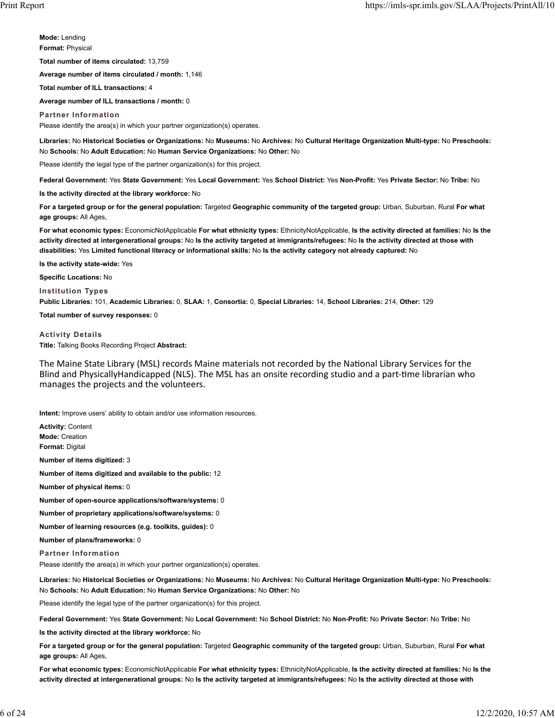**Mode:** Lending **Format:** Physical

**Total number of items circulated:** 13,759

**Average number of items circulated / month:** 1,146

**Total number of ILL transactions:** 4

**Average number of ILL transactions / month:** 0

**Partner Information**

Please identify the area(s) in which your partner organization(s) operates.

**Libraries:** No **Historical Societies or Organizations:** No **Museums:** No **Archives:** No **Cultural Heritage Organization Multi-type:** No **Preschools:** No **Schools:** No **Adult Education:** No **Human Service Organizations:** No **Other:** No

Please identify the legal type of the partner organization(s) for this project.

**Federal Government:** Yes **State Government:** Yes **Local Government:** Yes **School District:** Yes **Non-Profit:** Yes **Private Sector:** No **Tribe:** No

**Is the activity directed at the library workforce:** No

**For a targeted group or for the general population:** Targeted **Geographic community of the targeted group:** Urban, Suburban, Rural **For what age groups:** All Ages,

**For what economic types:** EconomicNotApplicable **For what ethnicity types:** EthnicityNotApplicable, **Is the activity directed at families:** No **Is the activity directed at intergenerational groups:** No **Is the activity targeted at immigrants/refugees:** No **Is the activity directed at those with disabilities:** Yes **Limited functional literacy or informational skills:** No **Is the activity category not already captured:** No

**Is the activity state-wide:** Yes

**Specific Locations:** No

**Institution Types Public Libraries:** 101, **Academic Libraries:** 0, **SLAA:** 1, **Consortia:** 0, **Special Libraries:** 14, **School Libraries:** 214, **Other:** 129

**Total number of survey responses:** 0

**Activity Details Title:** Talking Books Recording Project **Abstract:**

The Maine State Library (MSL) records Maine materials not recorded by the National Library Services for the Blind and PhysicallyHandicapped (NLS). The MSL has an onsite recording studio and a part-time librarian who manages the projects and the volunteers.

**Intent:** Improve users' ability to obtain and/or use information resources.

**Activity:** Content **Mode:** Creation **Format:** Digital

**Number of items digitized:** 3

**Number of items digitized and available to the public:** 12

**Number of physical items:** 0

**Number of open-source applications/software/systems:** 0

**Number of proprietary applications/software/systems:** 0

**Number of learning resources (e.g. toolkits, guides):** 0

**Number of plans/frameworks:** 0

**Partner Information**

Please identify the area(s) in which your partner organization(s) operates.

**Libraries:** No **Historical Societies or Organizations:** No **Museums:** No **Archives:** No **Cultural Heritage Organization Multi-type:** No **Preschools:** No **Schools:** No **Adult Education:** No **Human Service Organizations:** No **Other:** No

Please identify the legal type of the partner organization(s) for this project.

**Federal Government:** Yes **State Government:** No **Local Government:** No **School District:** No **Non-Profit:** No **Private Sector:** No **Tribe:** No

**Is the activity directed at the library workforce:** No

**For a targeted group or for the general population:** Targeted **Geographic community of the targeted group:** Urban, Suburban, Rural **For what age groups:** All Ages,

**For what economic types:** EconomicNotApplicable **For what ethnicity types:** EthnicityNotApplicable, **Is the activity directed at families:** No **Is the activity directed at intergenerational groups:** No **Is the activity targeted at immigrants/refugees:** No **Is the activity directed at those with**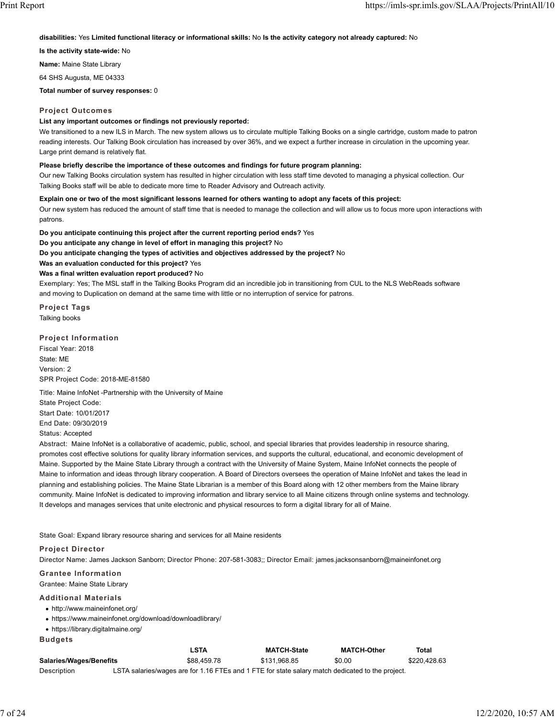**disabilities:** Yes **Limited functional literacy or informational skills:** No **Is the activity category not already captured:** No

**Is the activity state-wide:** No

**Name:** Maine State Library

64 SHS Augusta, ME 04333

**Total number of survey responses:** 0

#### **Project Outcomes**

#### **List any important outcomes or findings not previously reported:**

We transitioned to a new ILS in March. The new system allows us to circulate multiple Talking Books on a single cartridge, custom made to patron reading interests. Our Talking Book circulation has increased by over 36%, and we expect a further increase in circulation in the upcoming year. Large print demand is relatively flat.

### **Please briefly describe the importance of these outcomes and findings for future program planning:**

Our new Talking Books circulation system has resulted in higher circulation with less staff time devoted to managing a physical collection. Our Talking Books staff will be able to dedicate more time to Reader Advisory and Outreach activity.

#### **Explain one or two of the most significant lessons learned for others wanting to adopt any facets of this project:**

Our new system has reduced the amount of staff time that is needed to manage the collection and will allow us to focus more upon interactions with patrons.

**Do you anticipate continuing this project after the current reporting period ends?** Yes

**Do you anticipate any change in level of effort in managing this project?** No

**Do you anticipate changing the types of activities and objectives addressed by the project?** No

**Was an evaluation conducted for this project?** Yes

#### **Was a final written evaluation report produced?** No

Exemplary: Yes; The MSL staff in the Talking Books Program did an incredible job in transitioning from CUL to the NLS WebReads software and moving to Duplication on demand at the same time with little or no interruption of service for patrons.

**Project Tags** Talking books

### **Project Information**

Fiscal Year: 2018 State: ME Version: 2 SPR Project Code: 2018-ME-81580

Title: Maine InfoNet -Partnership with the University of Maine State Project Code: Start Date: 10/01/2017 End Date: 09/30/2019 Status: Accepted

Abstract: Maine InfoNet is a collaborative of academic, public, school, and special libraries that provides leadership in resource sharing, promotes cost effective solutions for quality library information services, and supports the cultural, educational, and economic development of Maine. Supported by the Maine State Library through a contract with the University of Maine System, Maine InfoNet connects the people of Maine to information and ideas through library cooperation. A Board of Directors oversees the operation of Maine InfoNet and takes the lead in planning and establishing policies. The Maine State Librarian is a member of this Board along with 12 other members from the Maine library community. Maine InfoNet is dedicated to improving information and library service to all Maine citizens through online systems and technology. It develops and manages services that unite electronic and physical resources to form a digital library for all of Maine.

State Goal: Expand library resource sharing and services for all Maine residents

#### **Project Director**

Director Name: James Jackson Sanborn; Director Phone: 207-581-3083;; Director Email: james.jacksonsanborn@maineinfonet.org

#### **Grantee Information**

Grantee: Maine State Library

#### **Additional Materials**

- http://www.maineinfonet.org/
- https://www.maineinfonet.org/download/downloadlibrary/
- https://library.digitalmaine.org/

| Budde |  |  |
|-------|--|--|
|-------|--|--|

|                                | LSTA                                                                                             | <b>MATCH-State</b> | <b>MATCH-Other</b> | Total        |
|--------------------------------|--------------------------------------------------------------------------------------------------|--------------------|--------------------|--------------|
| <b>Salaries/Wages/Benefits</b> | \$88,459.78                                                                                      | \$131.968.85       | \$0.00             | \$220.428.63 |
| Description                    | LSTA salaries/wages are for 1.16 FTEs and 1 FTE for state salary match dedicated to the project. |                    |                    |              |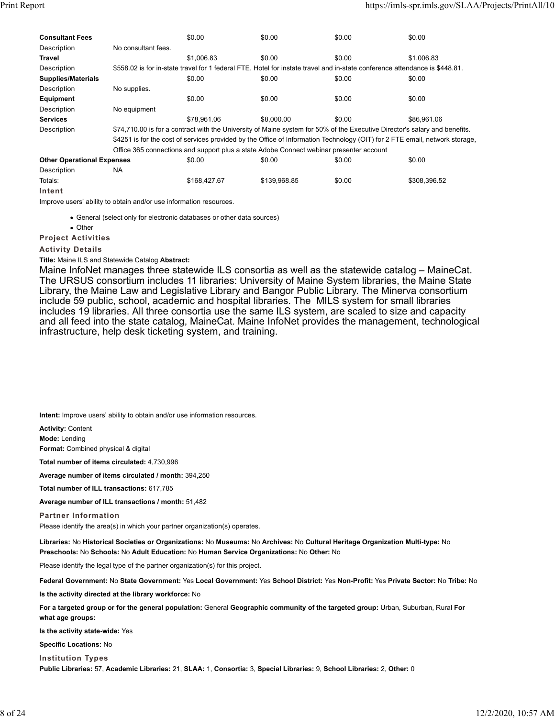| <b>Consultant Fees</b>            |                     | \$0.00       | \$0.00                                                                                  | \$0.00                                                                                                                      | \$0.00       |  |
|-----------------------------------|---------------------|--------------|-----------------------------------------------------------------------------------------|-----------------------------------------------------------------------------------------------------------------------------|--------------|--|
| Description                       | No consultant fees. |              |                                                                                         |                                                                                                                             |              |  |
| Travel                            |                     | \$1,006.83   | \$0.00                                                                                  | \$0.00                                                                                                                      | \$1,006.83   |  |
| Description                       |                     |              |                                                                                         | \$558.02 is for in-state travel for 1 federal FTE. Hotel for instate travel and in-state conference attendance is \$448.81. |              |  |
| <b>Supplies/Materials</b>         |                     | \$0.00       | \$0.00                                                                                  | \$0.00                                                                                                                      | \$0.00       |  |
| Description                       | No supplies.        |              |                                                                                         |                                                                                                                             |              |  |
| Equipment                         |                     | \$0.00       | \$0.00                                                                                  | \$0.00                                                                                                                      | \$0.00       |  |
| Description                       | No equipment        |              |                                                                                         |                                                                                                                             |              |  |
| <b>Services</b>                   |                     | \$78.961.06  | \$8,000.00                                                                              | \$0.00                                                                                                                      | \$86.961.06  |  |
| Description                       |                     |              |                                                                                         | \$74,710.00 is for a contract with the University of Maine system for 50% of the Executive Director's salary and benefits.  |              |  |
|                                   |                     |              |                                                                                         | \$4251 is for the cost of services provided by the Office of Information Technology (OIT) for 2 FTE email, network storage, |              |  |
|                                   |                     |              | Office 365 connections and support plus a state Adobe Connect webinar presenter account |                                                                                                                             |              |  |
| <b>Other Operational Expenses</b> |                     | \$0.00       | \$0.00                                                                                  | \$0.00                                                                                                                      | \$0.00       |  |
| Description                       | NA.                 |              |                                                                                         |                                                                                                                             |              |  |
| Totals:                           |                     | \$168,427.67 | \$139,968.85                                                                            | \$0.00                                                                                                                      | \$308,396.52 |  |
| Intent                            |                     |              |                                                                                         |                                                                                                                             |              |  |

Improve users' ability to obtain and/or use information resources.

General (select only for electronic databases or other data sources)

• Other

**Project Activities**

### **Activity Details**

**Title:** Maine ILS and Statewide Catalog **Abstract:**

Maine InfoNet manages three statewide ILS consortia as well as the statewide catalog – MaineCat. The URSUS consortium includes 11 libraries: University of Maine System libraries, the Maine State Library, the Maine Law and Legislative Library and Bangor Public Library. The Minerva consortium include 59 public, school, academic and hospital libraries. The MILS system for small libraries includes 19 libraries. All three consortia use the same ILS system, are scaled to size and capacity and all feed into the state catalog, MaineCat. Maine InfoNet provides the management, technological infrastructure, help desk ticketing system, and training.

**Intent:** Improve users' ability to obtain and/or use information resources.

**Activity:** Content

**Mode:** Lending

**Format:** Combined physical & digital

**Total number of items circulated:** 4,730,996

**Average number of items circulated / month:** 394,250

**Total number of ILL transactions:** 617,785

**Average number of ILL transactions / month:** 51,482

**Partner Information**

Please identify the area(s) in which your partner organization(s) operates.

**Libraries:** No **Historical Societies or Organizations:** No **Museums:** No **Archives:** No **Cultural Heritage Organization Multi-type:** No **Preschools:** No **Schools:** No **Adult Education:** No **Human Service Organizations:** No **Other:** No

Please identify the legal type of the partner organization(s) for this project.

**Federal Government:** No **State Government:** Yes **Local Government:** Yes **School District:** Yes **Non-Profit:** Yes **Private Sector:** No **Tribe:** No

**Is the activity directed at the library workforce:** No

**For a targeted group or for the general population:** General **Geographic community of the targeted group:** Urban, Suburban, Rural **For what age groups:**

**Is the activity state-wide:** Yes

**Specific Locations:** No

**Institution Types Public Libraries:** 57, **Academic Libraries:** 21, **SLAA:** 1, **Consortia:** 3, **Special Libraries:** 9, **School Libraries:** 2, **Other:** 0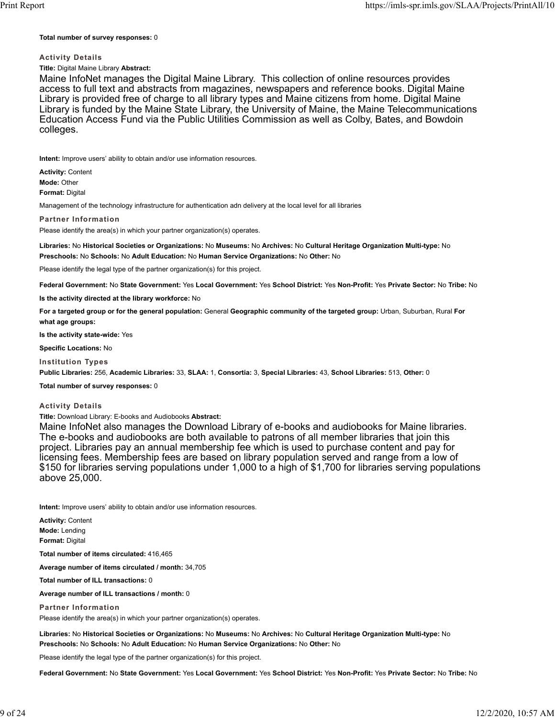#### **Total number of survey responses:** 0

### **Activity Details**

### **Title:** Digital Maine Library **Abstract:**

Maine InfoNet manages the Digital Maine Library. This collection of online resources provides access to full text and abstracts from magazines, newspapers and reference books. Digital Maine Library is provided free of charge to all library types and Maine citizens from home. Digital Maine Library is funded by the Maine State Library, the University of Maine, the Maine Telecommunications Education Access Fund via the Public Utilities Commission as well as Colby, Bates, and Bowdoin colleges.

**Intent:** Improve users' ability to obtain and/or use information resources.

**Activity:** Content **Mode:** Other **Format:** Digital

Management of the technology infrastructure for authentication adn delivery at the local level for all libraries

#### **Partner Information**

Please identify the area(s) in which your partner organization(s) operates.

**Libraries:** No **Historical Societies or Organizations:** No **Museums:** No **Archives:** No **Cultural Heritage Organization Multi-type:** No **Preschools:** No **Schools:** No **Adult Education:** No **Human Service Organizations:** No **Other:** No

Please identify the legal type of the partner organization(s) for this project.

**Federal Government:** No **State Government:** Yes **Local Government:** Yes **School District:** Yes **Non-Profit:** Yes **Private Sector:** No **Tribe:** No

**Is the activity directed at the library workforce:** No

**For a targeted group or for the general population:** General **Geographic community of the targeted group:** Urban, Suburban, Rural **For what age groups:**

**Is the activity state-wide:** Yes

**Specific Locations:** No

**Institution Types**

**Public Libraries:** 256, **Academic Libraries:** 33, **SLAA:** 1, **Consortia:** 3, **Special Libraries:** 43, **School Libraries:** 513, **Other:** 0

**Total number of survey responses:** 0

### **Activity Details**

**Title:** Download Library: E-books and Audiobooks **Abstract:**

Maine InfoNet also manages the Download Library of e-books and audiobooks for Maine libraries. The e-books and audiobooks are both available to patrons of all member libraries that join this project. Libraries pay an annual membership fee which is used to purchase content and pay for licensing fees. Membership fees are based on library population served and range from a low of \$150 for libraries serving populations under 1,000 to a high of \$1,700 for libraries serving populations above 25,000.

**Intent:** Improve users' ability to obtain and/or use information resources.

**Activity:** Content **Mode:** Lending **Format:** Digital

**Total number of items circulated:** 416,465

**Average number of items circulated / month:** 34,705

**Total number of ILL transactions:** 0

**Average number of ILL transactions / month:** 0

**Partner Information**

Please identify the area(s) in which your partner organization(s) operates.

**Libraries:** No **Historical Societies or Organizations:** No **Museums:** No **Archives:** No **Cultural Heritage Organization Multi-type:** No **Preschools:** No **Schools:** No **Adult Education:** No **Human Service Organizations:** No **Other:** No

Please identify the legal type of the partner organization(s) for this project.

**Federal Government:** No **State Government:** Yes **Local Government:** Yes **School District:** Yes **Non-Profit:** Yes **Private Sector:** No **Tribe:** No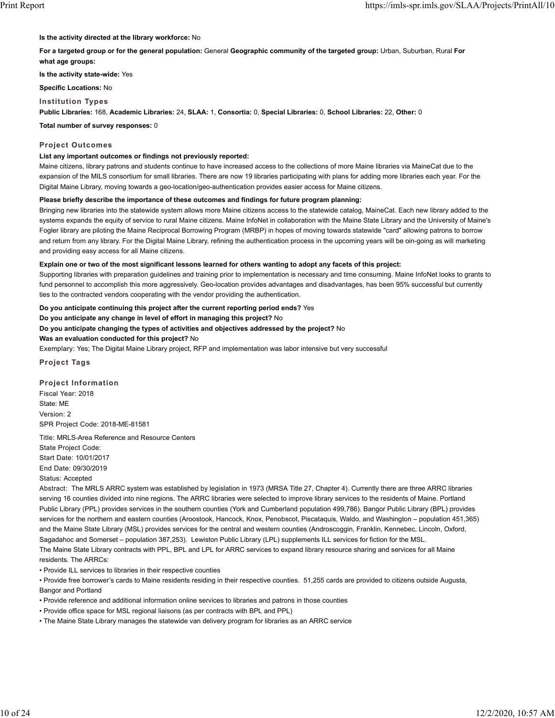**Is the activity directed at the library workforce:** No

**For a targeted group or for the general population:** General **Geographic community of the targeted group:** Urban, Suburban, Rural **For what age groups:**

**Is the activity state-wide:** Yes

**Specific Locations:** No

**Institution Types**

**Public Libraries:** 168, **Academic Libraries:** 24, **SLAA:** 1, **Consortia:** 0, **Special Libraries:** 0, **School Libraries:** 22, **Other:** 0

**Total number of survey responses:** 0

### **Project Outcomes**

### **List any important outcomes or findings not previously reported:**

Maine citizens, library patrons and students continue to have increased access to the collections of more Maine libraries via MaineCat due to the expansion of the MILS consortium for small libraries. There are now 19 libraries participating with plans for adding more libraries each year. For the Digital Maine Library, moving towards a geo-location/geo-authentication provides easier access for Maine citizens.

#### **Please briefly describe the importance of these outcomes and findings for future program planning:**

Bringing new libraries into the statewide system allows more Maine citizens access to the statewide catalog, MaineCat. Each new library added to the systems expands the equity of service to rural Maine citizens. Maine InfoNet in collaboration with the Maine State Library and the University of Maine's Fogler library are piloting the Maine Reciprocal Borrowing Program (MRBP) in hopes of moving towards statewide "card" allowing patrons to borrow and return from any library. For the Digital Maine Library, refining the authentication process in the upcoming years will be oin-going as will marketing and providing easy access for all Maine citizens.

#### **Explain one or two of the most significant lessons learned for others wanting to adopt any facets of this project:**

Supporting libraries with preparation guidelines and training prior to implementation is necessary and time consuming. Maine InfoNet looks to grants to fund personnel to accomplish this more aggressively. Geo-location provides advantages and disadvantages, has been 95% successful but currently ties to the contracted vendors cooperating with the vendor providing the authentication.

#### **Do you anticipate continuing this project after the current reporting period ends?** Yes

**Do you anticipate any change in level of effort in managing this project?** No

**Do you anticipate changing the types of activities and objectives addressed by the project?** No

**Was an evaluation conducted for this project?** No

Exemplary: Yes; The Digital Maine Library project, RFP and implementation was labor intensive but very successful

**Project Tags**

**Project Information** Fiscal Year: 2018 State: ME Version: 2 SPR Project Code: 2018-ME-81581

Title: MRLS-Area Reference and Resource Centers State Project Code: Start Date: 10/01/2017 End Date: 09/30/2019 Status: Accepted

Abstract: The MRLS ARRC system was established by legislation in 1973 (MRSA Title 27, Chapter 4). Currently there are three ARRC libraries serving 16 counties divided into nine regions. The ARRC libraries were selected to improve library services to the residents of Maine. Portland Public Library (PPL) provides services in the southern counties (York and Cumberland population 499,786). Bangor Public Library (BPL) provides services for the northern and eastern counties (Aroostook, Hancock, Knox, Penobscot, Piscataquis, Waldo, and Washington – population 451,365) and the Maine State Library (MSL) provides services for the central and western counties (Androscoggin, Franklin, Kennebec, Lincoln, Oxford, Sagadahoc and Somerset – population 387,253). Lewiston Public Library (LPL) supplements ILL services for fiction for the MSL. The Maine State Library contracts with PPL, BPL and LPL for ARRC services to expand library resource sharing and services for all Maine residents. The ARRCs:

• Provide ILL services to libraries in their respective counties

• Provide free borrower's cards to Maine residents residing in their respective counties. 51,255 cards are provided to citizens outside Augusta, Bangor and Portland

• Provide reference and additional information online services to libraries and patrons in those counties

• Provide office space for MSL regional liaisons (as per contracts with BPL and PPL)

• The Maine State Library manages the statewide van delivery program for libraries as an ARRC service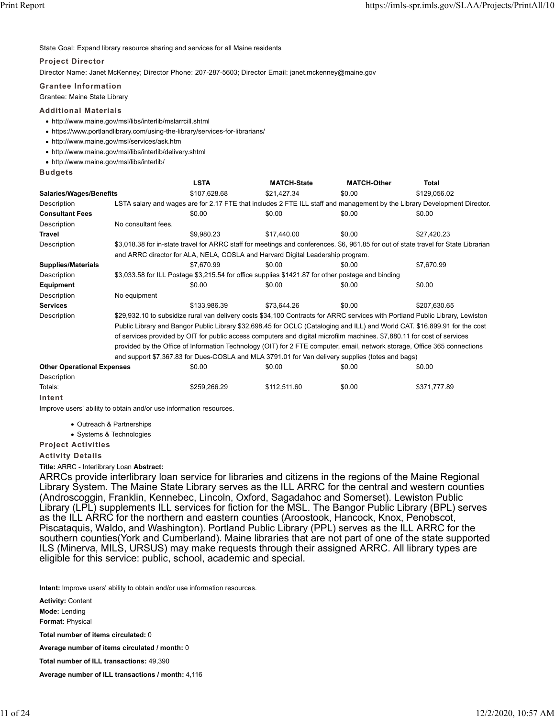State Goal: Expand library resource sharing and services for all Maine residents

### **Project Director**

Director Name: Janet McKenney; Director Phone: 207-287-5603; Director Email: janet.mckenney@maine.gov

### **Grantee Information**

Grantee: Maine State Library

### **Additional Materials**

- http://www.maine.gov/msl/libs/interlib/mslarrcill.shtml
- https://www.portlandlibrary.com/using-the-library/services-for-librarians/
- http://www.maine.gov/msl/services/ask.htm
- http://www.maine.gov/msl/libs/interlib/delivery.shtml
- http://www.maine.gov/msl/libs/interlib/

**Budgets**

|                                   |                     | <b>LSTA</b>                                                                                                                   | <b>MATCH-State</b>                                                                                | <b>MATCH-Other</b> | Total                                                                                                                               |  |  |  |
|-----------------------------------|---------------------|-------------------------------------------------------------------------------------------------------------------------------|---------------------------------------------------------------------------------------------------|--------------------|-------------------------------------------------------------------------------------------------------------------------------------|--|--|--|
| <b>Salaries/Wages/Benefits</b>    |                     | \$107,628.68                                                                                                                  | \$21,427.34                                                                                       | \$0.00             | \$129,056.02                                                                                                                        |  |  |  |
| Description                       |                     |                                                                                                                               |                                                                                                   |                    | LSTA salary and wages are for 2.17 FTE that includes 2 FTE ILL staff and management by the Library Development Director.            |  |  |  |
| <b>Consultant Fees</b>            |                     | \$0.00                                                                                                                        | \$0.00                                                                                            | \$0.00             | \$0.00                                                                                                                              |  |  |  |
| Description                       | No consultant fees. |                                                                                                                               |                                                                                                   |                    |                                                                                                                                     |  |  |  |
| <b>Travel</b>                     |                     | \$9.980.23                                                                                                                    | \$17.440.00                                                                                       | \$0.00             | \$27.420.23                                                                                                                         |  |  |  |
| Description                       |                     |                                                                                                                               |                                                                                                   |                    | \$3,018.38 for in-state travel for ARRC staff for meetings and conferences. \$6, 961.85 for out of state travel for State Librarian |  |  |  |
|                                   |                     |                                                                                                                               | and ARRC director for ALA, NELA, COSLA and Harvard Digital Leadership program.                    |                    |                                                                                                                                     |  |  |  |
| <b>Supplies/Materials</b>         |                     | \$7.670.99                                                                                                                    | \$0.00                                                                                            | \$0.00             | \$7.670.99                                                                                                                          |  |  |  |
| Description                       |                     |                                                                                                                               | \$3,033.58 for ILL Postage \$3,215.54 for office supplies \$1421.87 for other postage and binding |                    |                                                                                                                                     |  |  |  |
| Equipment                         |                     | \$0.00                                                                                                                        | \$0.00                                                                                            | \$0.00             | \$0.00                                                                                                                              |  |  |  |
| Description                       | No equipment        |                                                                                                                               |                                                                                                   |                    |                                                                                                                                     |  |  |  |
| <b>Services</b>                   |                     | \$133,986.39                                                                                                                  | \$73.644.26                                                                                       | \$0.00             | \$207.630.65                                                                                                                        |  |  |  |
| Description                       |                     | \$29,932.10 to subsidize rural van delivery costs \$34,100 Contracts for ARRC services with Portland Public Library, Lewiston |                                                                                                   |                    |                                                                                                                                     |  |  |  |
|                                   |                     | Public Library and Bangor Public Library \$32,698.45 for OCLC (Cataloging and ILL) and World CAT. \$16,899.91 for the cost    |                                                                                                   |                    |                                                                                                                                     |  |  |  |
|                                   |                     | of services provided by OIT for public access computers and digital microfilm machines. \$7,880.11 for cost of services       |                                                                                                   |                    |                                                                                                                                     |  |  |  |
|                                   |                     | provided by the Office of Information Technology (OIT) for 2 FTE computer, email, network storage, Office 365 connections     |                                                                                                   |                    |                                                                                                                                     |  |  |  |
|                                   |                     |                                                                                                                               | and support \$7,367.83 for Dues-COSLA and MLA 3791.01 for Van delivery supplies (totes and bags)  |                    |                                                                                                                                     |  |  |  |
| <b>Other Operational Expenses</b> |                     | \$0.00                                                                                                                        | \$0.00                                                                                            | \$0.00             | \$0.00                                                                                                                              |  |  |  |
| Description                       |                     |                                                                                                                               |                                                                                                   |                    |                                                                                                                                     |  |  |  |

| Totals: | \$259.266.29 | \$112.511.60 | \$0.00 | \$371.777.89 |
|---------|--------------|--------------|--------|--------------|
| Intent  |              |              |        |              |

Improve users' ability to obtain and/or use information resources.

- Outreach & Partnerships
- Systems & Technologies

**Project Activities**

#### **Activity Details**

**Title:** ARRC - Interlibrary Loan **Abstract:**

ARRCs provide interlibrary loan service for libraries and citizens in the regions of the Maine Regional Library System. The Maine State Library serves as the ILL ARRC for the central and western counties (Androscoggin, Franklin, Kennebec, Lincoln, Oxford, Sagadahoc and Somerset). Lewiston Public Library (LPL) supplements ILL services for fiction for the MSL. The Bangor Public Library (BPL) serves as the ILL ARRC for the northern and eastern counties (Aroostook, Hancock, Knox, Penobscot, Piscataquis, Waldo, and Washington). Portland Public Library (PPL) serves as the ILL ARRC for the southern counties(York and Cumberland). Maine libraries that are not part of one of the state supported ILS (Minerva, MILS, URSUS) may make requests through their assigned ARRC. All library types are eligible for this service: public, school, academic and special.

**Intent:** Improve users' ability to obtain and/or use information resources.

**Activity:** Content **Mode:** Lending **Format:** Physical **Total number of items circulated:** 0 **Average number of items circulated / month:** 0 **Total number of ILL transactions:** 49,390

**Average number of ILL transactions / month:** 4,116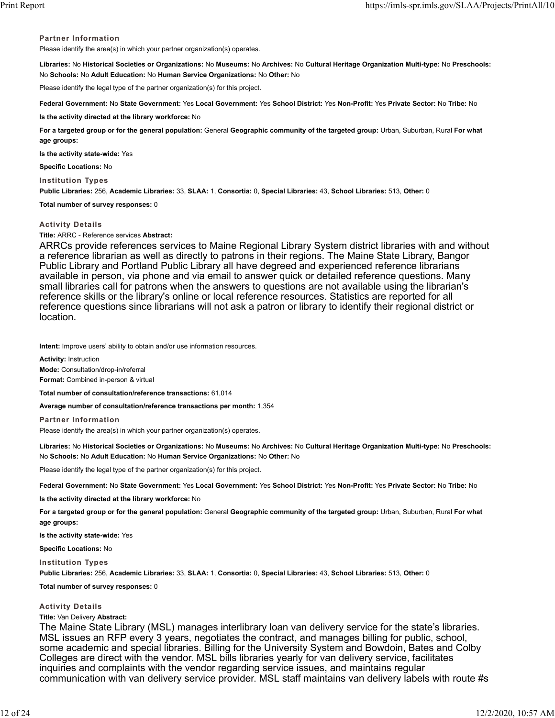### **Partner Information**

Please identify the area(s) in which your partner organization(s) operates.

**Libraries:** No **Historical Societies or Organizations:** No **Museums:** No **Archives:** No **Cultural Heritage Organization Multi-type:** No **Preschools:** No **Schools:** No **Adult Education:** No **Human Service Organizations:** No **Other:** No

Please identify the legal type of the partner organization(s) for this project.

**Federal Government:** No **State Government:** Yes **Local Government:** Yes **School District:** Yes **Non-Profit:** Yes **Private Sector:** No **Tribe:** No

**Is the activity directed at the library workforce:** No

**For a targeted group or for the general population:** General **Geographic community of the targeted group:** Urban, Suburban, Rural **For what age groups:**

**Is the activity state-wide:** Yes

**Specific Locations:** No

**Institution Types**

**Public Libraries:** 256, **Academic Libraries:** 33, **SLAA:** 1, **Consortia:** 0, **Special Libraries:** 43, **School Libraries:** 513, **Other:** 0

**Total number of survey responses:** 0

### **Activity Details**

**Title:** ARRC - Reference services **Abstract:**

ARRCs provide references services to Maine Regional Library System district libraries with and without a reference librarian as well as directly to patrons in their regions. The Maine State Library, Bangor Public Library and Portland Public Library all have degreed and experienced reference librarians available in person, via phone and via email to answer quick or detailed reference questions. Many small libraries call for patrons when the answers to questions are not available using the librarian's reference skills or the library's online or local reference resources. Statistics are reported for all reference questions since librarians will not ask a patron or library to identify their regional district or location.

**Intent:** Improve users' ability to obtain and/or use information resources.

**Activity:** Instruction **Mode:** Consultation/drop-in/referral **Format:** Combined in-person & virtual

**Total number of consultation/reference transactions:** 61,014

**Average number of consultation/reference transactions per month:** 1,354

**Partner Information** Please identify the area(s) in which your partner organization(s) operates.

**Libraries:** No **Historical Societies or Organizations:** No **Museums:** No **Archives:** No **Cultural Heritage Organization Multi-type:** No **Preschools:** No **Schools:** No **Adult Education:** No **Human Service Organizations:** No **Other:** No

Please identify the legal type of the partner organization(s) for this project.

**Federal Government:** No **State Government:** Yes **Local Government:** Yes **School District:** Yes **Non-Profit:** Yes **Private Sector:** No **Tribe:** No

**Is the activity directed at the library workforce:** No

**For a targeted group or for the general population:** General **Geographic community of the targeted group:** Urban, Suburban, Rural **For what age groups:**

**Is the activity state-wide:** Yes

**Specific Locations:** No

**Institution Types**

**Public Libraries:** 256, **Academic Libraries:** 33, **SLAA:** 1, **Consortia:** 0, **Special Libraries:** 43, **School Libraries:** 513, **Other:** 0

**Total number of survey responses:** 0

### **Activity Details**

**Title:** Van Delivery **Abstract:**

The Maine State Library (MSL) manages interlibrary loan van delivery service for the state's libraries. MSL issues an RFP every 3 years, negotiates the contract, and manages billing for public, school, some academic and special libraries. Billing for the University System and Bowdoin, Bates and Colby Colleges are direct with the vendor. MSL bills libraries yearly for van delivery service, facilitates inquiries and complaints with the vendor regarding service issues, and maintains regular communication with van delivery service provider. MSL staff maintains van delivery labels with route #s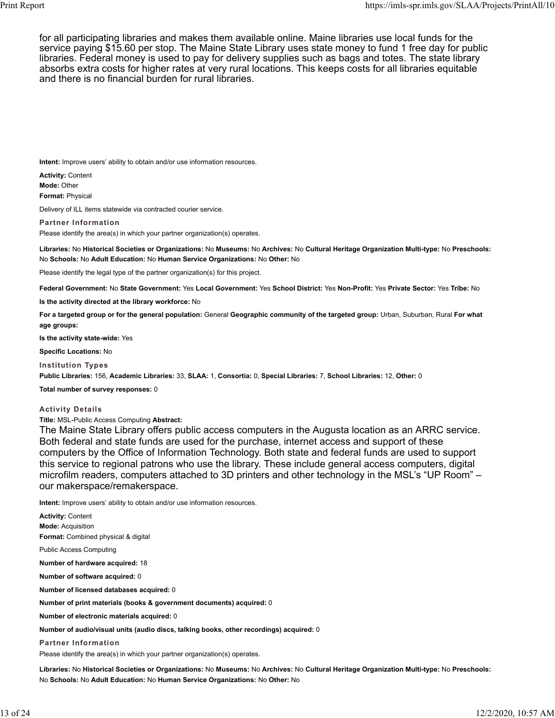for all participating libraries and makes them available online. Maine libraries use local funds for the service paying \$15.60 per stop. The Maine State Library uses state money to fund 1 free day for public libraries. Federal money is used to pay for delivery supplies such as bags and totes. The state library absorbs extra costs for higher rates at very rural locations. This keeps costs for all libraries equitable and there is no financial burden for rural libraries.

**Intent:** Improve users' ability to obtain and/or use information resources.

**Activity:** Content **Mode:** Other **Format:** Physical

Delivery of ILL items statewide via contracted courier service.

**Partner Information**

Please identify the area(s) in which your partner organization(s) operates.

**Libraries:** No **Historical Societies or Organizations:** No **Museums:** No **Archives:** No **Cultural Heritage Organization Multi-type:** No **Preschools:** No **Schools:** No **Adult Education:** No **Human Service Organizations:** No **Other:** No

Please identify the legal type of the partner organization(s) for this project.

**Federal Government:** No **State Government:** Yes **Local Government:** Yes **School District:** Yes **Non-Profit:** Yes **Private Sector:** Yes **Tribe:** No

**Is the activity directed at the library workforce:** No

**For a targeted group or for the general population:** General **Geographic community of the targeted group:** Urban, Suburban, Rural **For what age groups:**

**Is the activity state-wide:** Yes

**Specific Locations:** No

**Institution Types**

**Public Libraries:** 156, **Academic Libraries:** 33, **SLAA:** 1, **Consortia:** 0, **Special Libraries:** 7, **School Libraries:** 12, **Other:** 0

**Total number of survey responses:** 0

**Activity Details**

**Title:** MSL-Public Access Computing **Abstract:**

The Maine State Library offers public access computers in the Augusta location as an ARRC service. Both federal and state funds are used for the purchase, internet access and support of these computers by the Office of Information Technology. Both state and federal funds are used to support this service to regional patrons who use the library. These include general access computers, digital microfilm readers, computers attached to 3D printers and other technology in the MSL's "UP Room" – our makerspace/remakerspace.

**Intent:** Improve users' ability to obtain and/or use information resources.

| <b>Activity: Content</b>                                                                |
|-----------------------------------------------------------------------------------------|
| <b>Mode: Acquisition</b>                                                                |
| Format: Combined physical & digital                                                     |
| <b>Public Access Computing</b>                                                          |
| Number of hardware acquired: 18                                                         |
| Number of software acquired: 0                                                          |
| Number of licensed databases acquired: 0                                                |
| Number of print materials (books & government documents) acquired: 0                    |
| Number of electronic materials acquired: 0                                              |
| Number of audio/visual units (audio discs, talking books, other recordings) acquired: 0 |
| <b>Partner Information</b>                                                              |
| Please identify the area(s) in which your partner organization(s) operates.             |
|                                                                                         |

**Libraries:** No **Historical Societies or Organizations:** No **Museums:** No **Archives:** No **Cultural Heritage Organization Multi-type:** No **Preschools:** No **Schools:** No **Adult Education:** No **Human Service Organizations:** No **Other:** No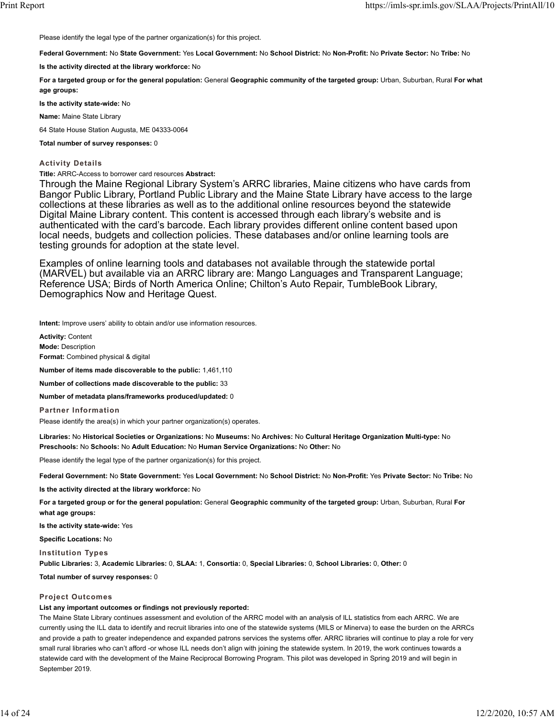Please identify the legal type of the partner organization(s) for this project.

**Federal Government:** No **State Government:** Yes **Local Government:** No **School District:** No **Non-Profit:** No **Private Sector:** No **Tribe:** No

**Is the activity directed at the library workforce:** No

**For a targeted group or for the general population:** General **Geographic community of the targeted group:** Urban, Suburban, Rural **For what age groups:**

**Is the activity state-wide:** No

**Name:** Maine State Library

64 State House Station Augusta, ME 04333-0064

**Total number of survey responses:** 0

**Activity Details**

**Title:** ARRC-Access to borrower card resources **Abstract:**

Through the Maine Regional Library System's ARRC libraries, Maine citizens who have cards from Bangor Public Library, Portland Public Library and the Maine State Library have access to the large collections at these libraries as well as to the additional online resources beyond the statewide Digital Maine Library content. This content is accessed through each library's website and is authenticated with the card's barcode. Each library provides different online content based upon local needs, budgets and collection policies. These databases and/or online learning tools are testing grounds for adoption at the state level.

Examples of online learning tools and databases not available through the statewide portal (MARVEL) but available via an ARRC library are: Mango Languages and Transparent Language; Reference USA; Birds of North America Online; Chilton's Auto Repair, TumbleBook Library, Demographics Now and Heritage Quest.

**Intent:** Improve users' ability to obtain and/or use information resources.

**Activity:** Content **Mode:** Description **Format:** Combined physical & digital

**Number of items made discoverable to the public:** 1,461,110

**Number of collections made discoverable to the public:** 33

**Number of metadata plans/frameworks produced/updated:** 0

**Partner Information**

Please identify the area(s) in which your partner organization(s) operates.

**Libraries:** No **Historical Societies or Organizations:** No **Museums:** No **Archives:** No **Cultural Heritage Organization Multi-type:** No **Preschools:** No **Schools:** No **Adult Education:** No **Human Service Organizations:** No **Other:** No

Please identify the legal type of the partner organization(s) for this project.

**Federal Government:** No **State Government:** Yes **Local Government:** No **School District:** No **Non-Profit:** Yes **Private Sector:** No **Tribe:** No

**Is the activity directed at the library workforce:** No

**For a targeted group or for the general population:** General **Geographic community of the targeted group:** Urban, Suburban, Rural **For what age groups:**

**Is the activity state-wide:** Yes

**Specific Locations:** No

**Institution Types**

**Public Libraries:** 3, **Academic Libraries:** 0, **SLAA:** 1, **Consortia:** 0, **Special Libraries:** 0, **School Libraries:** 0, **Other:** 0

**Total number of survey responses:** 0

#### **Project Outcomes**

#### **List any important outcomes or findings not previously reported:**

The Maine State Library continues assessment and evolution of the ARRC model with an analysis of ILL statistics from each ARRC. We are currently using the ILL data to identify and recruit libraries into one of the statewide systems (MILS or Minerva) to ease the burden on the ARRCs and provide a path to greater independence and expanded patrons services the systems offer. ARRC libraries will continue to play a role for very small rural libraries who can't afford -or whose ILL needs don't align with joining the statewide system. In 2019, the work continues towards a statewide card with the development of the Maine Reciprocal Borrowing Program. This pilot was developed in Spring 2019 and will begin in September 2019.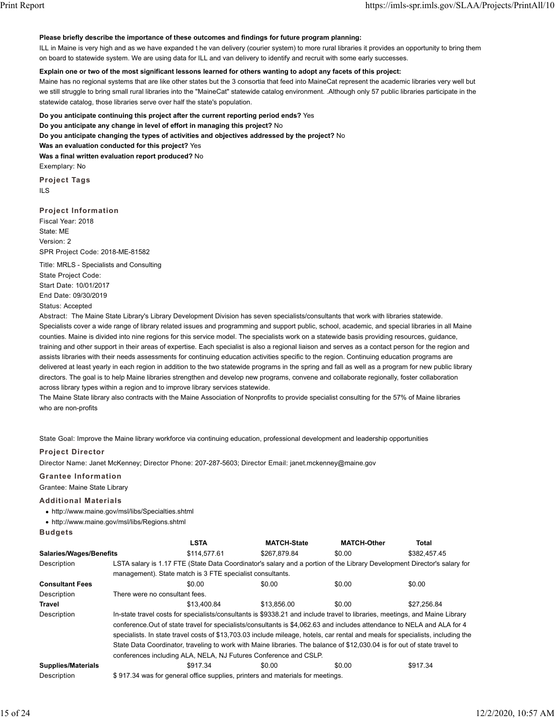#### **Please briefly describe the importance of these outcomes and findings for future program planning:**

ILL in Maine is very high and as we have expanded t he van delivery (courier system) to more rural libraries it provides an opportunity to bring them on board to statewide system. We are using data for ILL and van delivery to identify and recruit with some early successes.

#### **Explain one or two of the most significant lessons learned for others wanting to adopt any facets of this project:**

Maine has no regional systems that are like other states but the 3 consortia that feed into MaineCat represent the academic libraries very well but we still struggle to bring small rural libraries into the "MaineCat" statewide catalog environment. .Although only 57 public libraries participate in the statewide catalog, those libraries serve over half the state's population.

**Do you anticipate continuing this project after the current reporting period ends?** Yes

**Do you anticipate any change in level of effort in managing this project?** No

**Do you anticipate changing the types of activities and objectives addressed by the project?** No

**Was an evaluation conducted for this project?** Yes

**Was a final written evaluation report produced?** No Exemplary: No

**Project Tags** ILS

### **Project Information**

Fiscal Year: 2018 State: ME Version: 2 SPR Project Code: 2018-ME-81582

Title: MRLS - Specialists and Consulting State Project Code: Start Date: 10/01/2017 End Date: 09/30/2019

Status: Accepted

Abstract: The Maine State Library's Library Development Division has seven specialists/consultants that work with libraries statewide. Specialists cover a wide range of library related issues and programming and support public, school, academic, and special libraries in all Maine counties. Maine is divided into nine regions for this service model. The specialists work on a statewide basis providing resources, guidance, training and other support in their areas of expertise. Each specialist is also a regional liaison and serves as a contact person for the region and assists libraries with their needs assessments for continuing education activities specific to the region. Continuing education programs are delivered at least yearly in each region in addition to the two statewide programs in the spring and fall as well as a program for new public library directors. The goal is to help Maine libraries strengthen and develop new programs, convene and collaborate regionally, foster collaboration across library types within a region and to improve library services statewide.

The Maine State library also contracts with the Maine Association of Nonprofits to provide specialist consulting for the 57% of Maine libraries who are non-profits

State Goal: Improve the Maine library workforce via continuing education, professional development and leadership opportunities

#### **Project Director**

Director Name: Janet McKenney; Director Phone: 207-287-5603; Director Email: janet.mckenney@maine.gov

### **Grantee Information**

Grantee: Maine State Library

#### **Additional Materials**

- http://www.maine.gov/msl/libs/Specialties.shtml
- http://www.maine.gov/msl/libs/Regions.shtml

**Budgets**

|                                |                                                                                                                                | <b>LSTA</b>                                               | <b>MATCH-State</b>                                                                                                      | <b>MATCH-Other</b> | Total        |  |  |
|--------------------------------|--------------------------------------------------------------------------------------------------------------------------------|-----------------------------------------------------------|-------------------------------------------------------------------------------------------------------------------------|--------------------|--------------|--|--|
| <b>Salaries/Wages/Benefits</b> |                                                                                                                                | \$114,577.61                                              | \$267.879.84                                                                                                            | \$0.00             | \$382.457.45 |  |  |
| Description                    |                                                                                                                                |                                                           | LSTA salary is 1.17 FTE (State Data Coordinator's salary and a portion of the Library Development Director's salary for |                    |              |  |  |
|                                |                                                                                                                                | management). State match is 3 FTE specialist consultants. |                                                                                                                         |                    |              |  |  |
| <b>Consultant Fees</b>         |                                                                                                                                | \$0.00                                                    | \$0.00                                                                                                                  | \$0.00             | \$0.00       |  |  |
| Description                    | There were no consultant fees.                                                                                                 |                                                           |                                                                                                                         |                    |              |  |  |
| Travel                         |                                                                                                                                | \$13,400.84                                               | \$13,856.00                                                                                                             | \$0.00             | \$27.256.84  |  |  |
| Description                    | In-state travel costs for specialists/consultants is \$9338.21 and include travel to libraries, meetings, and Maine Library    |                                                           |                                                                                                                         |                    |              |  |  |
|                                | conference. Out of state travel for specialists/consultants is \$4,062.63 and includes attendance to NELA and ALA for 4        |                                                           |                                                                                                                         |                    |              |  |  |
|                                | specialists. In state travel costs of \$13,703.03 include mileage, hotels, car rental and meals for specialists, including the |                                                           |                                                                                                                         |                    |              |  |  |
|                                | State Data Coordinator, traveling to work with Maine libraries. The balance of \$12,030.04 is for out of state travel to       |                                                           |                                                                                                                         |                    |              |  |  |
|                                |                                                                                                                                |                                                           | conferences including ALA, NELA, NJ Futures Conference and CSLP.                                                        |                    |              |  |  |
| <b>Supplies/Materials</b>      |                                                                                                                                | \$917.34                                                  | \$0.00                                                                                                                  | \$0.00             | \$917.34     |  |  |
| Description                    |                                                                                                                                |                                                           | \$917.34 was for general office supplies, printers and materials for meetings.                                          |                    |              |  |  |

15 of 24 12/2/2020, 10:57 AM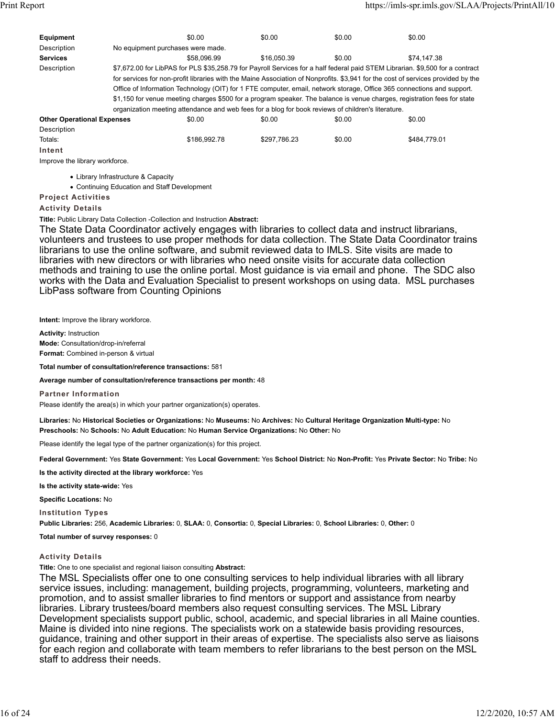| Equipment                                                                                                                        |                                   | \$0.00                                                                                             | \$0.00       | \$0.00 | \$0.00                                                                                                                        |  |  |
|----------------------------------------------------------------------------------------------------------------------------------|-----------------------------------|----------------------------------------------------------------------------------------------------|--------------|--------|-------------------------------------------------------------------------------------------------------------------------------|--|--|
| Description                                                                                                                      | No equipment purchases were made. |                                                                                                    |              |        |                                                                                                                               |  |  |
| <b>Services</b>                                                                                                                  |                                   | \$58,096.99                                                                                        | \$16,050.39  | \$0.00 | \$74.147.38                                                                                                                   |  |  |
| Description                                                                                                                      |                                   |                                                                                                    |              |        | \$7,672.00 for LibPAS for PLS \$35,258.79 for Payroll Services for a half federal paid STEM Librarian. \$9,500 for a contract |  |  |
| for services for non-profit libraries with the Maine Association of Nonprofits. \$3,941 for the cost of services provided by the |                                   |                                                                                                    |              |        |                                                                                                                               |  |  |
| Office of Information Technology (OIT) for 1 FTE computer, email, network storage, Office 365 connections and support.           |                                   |                                                                                                    |              |        |                                                                                                                               |  |  |
| \$1,150 for venue meeting charges \$500 for a program speaker. The balance is venue charges, registration fees for state         |                                   |                                                                                                    |              |        |                                                                                                                               |  |  |
|                                                                                                                                  |                                   | organization meeting attendance and web fees for a blog for book reviews of children's literature. |              |        |                                                                                                                               |  |  |
| <b>Other Operational Expenses</b>                                                                                                |                                   | \$0.00                                                                                             | \$0.00       | \$0.00 | \$0.00                                                                                                                        |  |  |
| Description                                                                                                                      |                                   |                                                                                                    |              |        |                                                                                                                               |  |  |
| Totals:                                                                                                                          |                                   | \$186,992.78                                                                                       | \$297.786.23 | \$0.00 | \$484,779.01                                                                                                                  |  |  |
| Intent                                                                                                                           |                                   |                                                                                                    |              |        |                                                                                                                               |  |  |
| Improve the library workforce.                                                                                                   |                                   |                                                                                                    |              |        |                                                                                                                               |  |  |

Library Infrastructure & Capacity

Continuing Education and Staff Development **Project Activities**

**Activity Details**

**Title:** Public Library Data Collection -Collection and Instruction **Abstract:**

The State Data Coordinator actively engages with libraries to collect data and instruct librarians, volunteers and trustees to use proper methods for data collection. The State Data Coordinator trains librarians to use the online software, and submit reviewed data to IMLS. Site visits are made to libraries with new directors or with libraries who need onsite visits for accurate data collection methods and training to use the online portal. Most guidance is via email and phone. The SDC also works with the Data and Evaluation Specialist to present workshops on using data. MSL purchases LibPass software from Counting Opinions

**Intent:** Improve the library workforce.

**Activity:** Instruction **Mode:** Consultation/drop-in/referral **Format:** Combined in-person & virtual

**Total number of consultation/reference transactions:** 581

**Average number of consultation/reference transactions per month:** 48

**Partner Information**

Please identify the area(s) in which your partner organization(s) operates.

**Libraries:** No **Historical Societies or Organizations:** No **Museums:** No **Archives:** No **Cultural Heritage Organization Multi-type:** No **Preschools:** No **Schools:** No **Adult Education:** No **Human Service Organizations:** No **Other:** No

Please identify the legal type of the partner organization(s) for this project.

**Federal Government:** Yes **State Government:** Yes **Local Government:** Yes **School District:** No **Non-Profit:** Yes **Private Sector:** No **Tribe:** No

**Is the activity directed at the library workforce:** Yes

**Is the activity state-wide:** Yes

**Specific Locations:** No

**Institution Types**

**Public Libraries:** 256, **Academic Libraries:** 0, **SLAA:** 0, **Consortia:** 0, **Special Libraries:** 0, **School Libraries:** 0, **Other:** 0

**Total number of survey responses:** 0

### **Activity Details**

**Title:** One to one specialist and regional liaison consulting **Abstract:**

The MSL Specialists offer one to one consulting services to help individual libraries with all library service issues, including: management, building projects, programming, volunteers, marketing and promotion, and to assist smaller libraries to find mentors or support and assistance from nearby libraries. Library trustees/board members also request consulting services. The MSL Library Development specialists support public, school, academic, and special libraries in all Maine counties. Maine is divided into nine regions. The specialists work on a statewide basis providing resources, guidance, training and other support in their areas of expertise. The specialists also serve as liaisons for each region and collaborate with team members to refer librarians to the best person on the MSL staff to address their needs.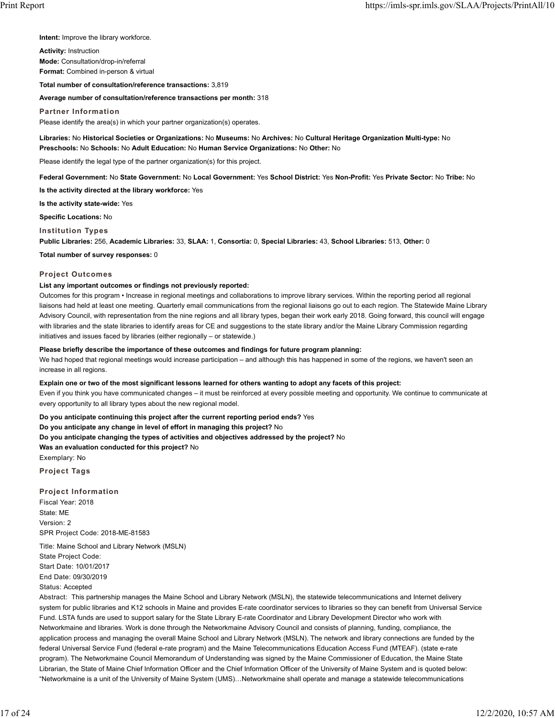**Intent:** Improve the library workforce.

**Activity:** Instruction **Mode:** Consultation/drop-in/referral

**Format:** Combined in-person & virtual

**Total number of consultation/reference transactions:** 3,819

**Average number of consultation/reference transactions per month:** 318

**Partner Information**

Please identify the area(s) in which your partner organization(s) operates.

**Libraries:** No **Historical Societies or Organizations:** No **Museums:** No **Archives:** No **Cultural Heritage Organization Multi-type:** No **Preschools:** No **Schools:** No **Adult Education:** No **Human Service Organizations:** No **Other:** No

Please identify the legal type of the partner organization(s) for this project.

**Federal Government:** No **State Government:** No **Local Government:** Yes **School District:** Yes **Non-Profit:** Yes **Private Sector:** No **Tribe:** No

**Is the activity directed at the library workforce:** Yes

**Is the activity state-wide:** Yes

**Specific Locations:** No

**Institution Types**

**Public Libraries:** 256, **Academic Libraries:** 33, **SLAA:** 1, **Consortia:** 0, **Special Libraries:** 43, **School Libraries:** 513, **Other:** 0

**Total number of survey responses:** 0

#### **Project Outcomes**

### **List any important outcomes or findings not previously reported:**

Outcomes for this program • Increase in regional meetings and collaborations to improve library services. Within the reporting period all regional liaisons had held at least one meeting. Quarterly email communications from the regional liaisons go out to each region. The Statewide Maine Library Advisory Council, with representation from the nine regions and all library types, began their work early 2018. Going forward, this council will engage with libraries and the state libraries to identify areas for CE and suggestions to the state library and/or the Maine Library Commission regarding initiatives and issues faced by libraries (either regionally – or statewide.)

#### **Please briefly describe the importance of these outcomes and findings for future program planning:**

We had hoped that regional meetings would increase participation – and although this has happened in some of the regions, we haven't seen an increase in all regions.

#### **Explain one or two of the most significant lessons learned for others wanting to adopt any facets of this project:**

Even if you think you have communicated changes – it must be reinforced at every possible meeting and opportunity. We continue to communicate at every opportunity to all library types about the new regional model.

**Do you anticipate continuing this project after the current reporting period ends?** Yes

**Do you anticipate any change in level of effort in managing this project?** No

**Do you anticipate changing the types of activities and objectives addressed by the project?** No

**Was an evaluation conducted for this project?** No

Exemplary: No

**Project Tags**

**Project Information**

Fiscal Year: 2018 State: ME Version: 2 SPR Project Code: 2018-ME-81583

Title: Maine School and Library Network (MSLN) State Project Code: Start Date: 10/01/2017 End Date: 09/30/2019 Status: Accepted

Abstract: This partnership manages the Maine School and Library Network (MSLN), the statewide telecommunications and Internet delivery system for public libraries and K12 schools in Maine and provides E-rate coordinator services to libraries so they can benefit from Universal Service Fund. LSTA funds are used to support salary for the State Library E-rate Coordinator and Library Development Director who work with Networkmaine and libraries. Work is done through the Networkmaine Advisory Council and consists of planning, funding, compliance, the application process and managing the overall Maine School and Library Network (MSLN). The network and library connections are funded by the federal Universal Service Fund (federal e-rate program) and the Maine Telecommunications Education Access Fund (MTEAF). (state e-rate program). The Networkmaine Council Memorandum of Understanding was signed by the Maine Commissioner of Education, the Maine State Librarian, the State of Maine Chief Information Officer and the Chief Information Officer of the University of Maine System and is quoted below: "Networkmaine is a unit of the University of Maine System (UMS)…Networkmaine shall operate and manage a statewide telecommunications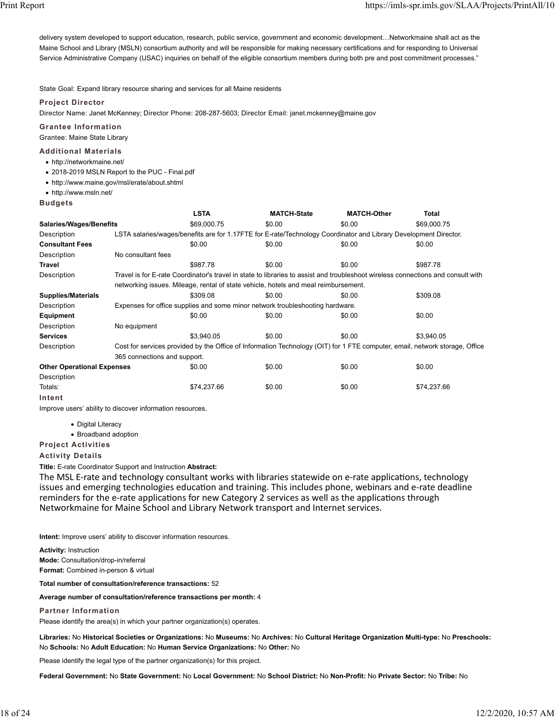delivery system developed to support education, research, public service, government and economic development…Networkmaine shall act as the Maine School and Library (MSLN) consortium authority and will be responsible for making necessary certifications and for responding to Universal Service Administrative Company (USAC) inquiries on behalf of the eligible consortium members during both pre and post commitment processes."

State Goal: Expand library resource sharing and services for all Maine residents

### **Project Director**

Director Name: Janet McKenney; Director Phone: 208-287-5603; Director Email: janet.mckenney@maine.gov

#### **Grantee Information**

Grantee: Maine State Library

#### **Additional Materials**

- http://networkmaine.net/
- 2018-2019 MSLN Report to the PUC Final.pdf
- http://www.maine.gov/msl/erate/about.shtml
- http://www.msln.net/

#### **Budgets**

|                                   |                                                                                                                             | <b>LSTA</b>                                                                   | <b>MATCH-State</b>                                                                                                               | <b>MATCH-Other</b> | <b>Total</b> |  |  |  |
|-----------------------------------|-----------------------------------------------------------------------------------------------------------------------------|-------------------------------------------------------------------------------|----------------------------------------------------------------------------------------------------------------------------------|--------------------|--------------|--|--|--|
| <b>Salaries/Wages/Benefits</b>    |                                                                                                                             | \$69,000.75                                                                   | \$0.00                                                                                                                           | \$0.00             | \$69,000.75  |  |  |  |
| Description                       |                                                                                                                             |                                                                               | LSTA salaries/wages/benefits are for 1.17FTE for E-rate/Technology Coordinator and Library Development Director.                 |                    |              |  |  |  |
| <b>Consultant Fees</b>            |                                                                                                                             | \$0.00                                                                        | \$0.00                                                                                                                           | \$0.00             | \$0.00       |  |  |  |
| Description                       | No consultant fees                                                                                                          |                                                                               |                                                                                                                                  |                    |              |  |  |  |
| <b>Travel</b>                     |                                                                                                                             | \$987.78                                                                      | \$0.00                                                                                                                           | \$0.00             | \$987.78     |  |  |  |
| Description                       |                                                                                                                             |                                                                               | Travel is for E-rate Coordinator's travel in state to libraries to assist and troubleshoot wireless connections and consult with |                    |              |  |  |  |
|                                   |                                                                                                                             |                                                                               | networking issues. Mileage, rental of state vehicle, hotels and meal reimbursement.                                              |                    |              |  |  |  |
| <b>Supplies/Materials</b>         |                                                                                                                             | \$309.08                                                                      | \$0.00                                                                                                                           | \$0.00             | \$309.08     |  |  |  |
| Description                       |                                                                                                                             | Expenses for office supplies and some minor network troubleshooting hardware. |                                                                                                                                  |                    |              |  |  |  |
| Equipment                         |                                                                                                                             | \$0.00                                                                        | \$0.00                                                                                                                           | \$0.00             | \$0.00       |  |  |  |
| Description                       | No equipment                                                                                                                |                                                                               |                                                                                                                                  |                    |              |  |  |  |
| <b>Services</b>                   |                                                                                                                             | \$3.940.05                                                                    | \$0.00                                                                                                                           | \$0.00             | \$3,940.05   |  |  |  |
| Description                       | Cost for services provided by the Office of Information Technology (OIT) for 1 FTE computer, email, network storage, Office |                                                                               |                                                                                                                                  |                    |              |  |  |  |
|                                   | 365 connections and support.                                                                                                |                                                                               |                                                                                                                                  |                    |              |  |  |  |
| <b>Other Operational Expenses</b> |                                                                                                                             | \$0.00                                                                        | \$0.00                                                                                                                           | \$0.00             | \$0.00       |  |  |  |
| Description                       |                                                                                                                             |                                                                               |                                                                                                                                  |                    |              |  |  |  |
| Totals:                           |                                                                                                                             | \$74,237.66                                                                   | \$0.00                                                                                                                           | \$0.00             | \$74,237.66  |  |  |  |
| Intent                            |                                                                                                                             |                                                                               |                                                                                                                                  |                    |              |  |  |  |

Improve users' ability to discover information resources.

- Digital Literacy
- Broadband adoption

# **Project Activities**

**Activity Details**

**Title:** E-rate Coordinator Support and Instruction **Abstract:**

The MSL E-rate and technology consultant works with libraries statewide on e-rate applications, technology issues and emerging technologies education and training. This includes phone, webinars and e-rate deadline reminders for the e-rate applications for new Category 2 services as well as the applications through Networkmaine for Maine School and Library Network transport and Internet services.

**Intent:** Improve users' ability to discover information resources.

**Activity:** Instruction **Mode:** Consultation/drop-in/referral **Format:** Combined in-person & virtual

**Total number of consultation/reference transactions:** 52

#### **Average number of consultation/reference transactions per month:** 4

#### **Partner Information**

Please identify the area(s) in which your partner organization(s) operates.

**Libraries:** No **Historical Societies or Organizations:** No **Museums:** No **Archives:** No **Cultural Heritage Organization Multi-type:** No **Preschools:** No **Schools:** No **Adult Education:** No **Human Service Organizations:** No **Other:** No

Please identify the legal type of the partner organization(s) for this project.

**Federal Government:** No **State Government:** No **Local Government:** No **School District:** No **Non-Profit:** No **Private Sector:** No **Tribe:** No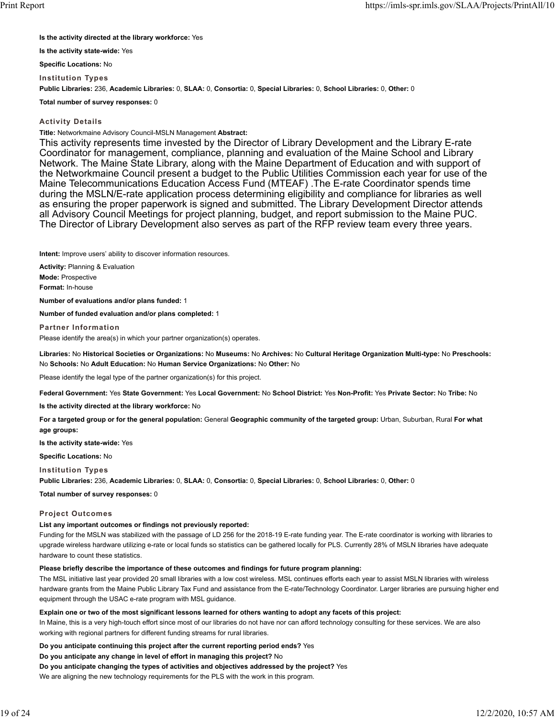**Is the activity directed at the library workforce:** Yes

**Is the activity state-wide:** Yes

**Specific Locations:** No

**Institution Types Public Libraries:** 236, **Academic Libraries:** 0, **SLAA:** 0, **Consortia:** 0, **Special Libraries:** 0, **School Libraries:** 0, **Other:** 0

**Total number of survey responses:** 0

### **Activity Details**

**Title:** Networkmaine Advisory Council-MSLN Management **Abstract:**

This activity represents time invested by the Director of Library Development and the Library E-rate Coordinator for management, compliance, planning and evaluation of the Maine School and Library Network. The Maine State Library, along with the Maine Department of Education and with support of the Networkmaine Council present a budget to the Public Utilities Commission each year for use of the Maine Telecommunications Education Access Fund (MTEAF) .The E-rate Coordinator spends time during the MSLN/E-rate application process determining eligibility and compliance for libraries as well as ensuring the proper paperwork is signed and submitted. The Library Development Director attends all Advisory Council Meetings for project planning, budget, and report submission to the Maine PUC. The Director of Library Development also serves as part of the RFP review team every three years.

**Intent:** Improve users' ability to discover information resources.

**Activity:** Planning & Evaluation **Mode:** Prospective **Format:** In-house

**Number of evaluations and/or plans funded:** 1

**Number of funded evaluation and/or plans completed:** 1

**Partner Information**

Please identify the area(s) in which your partner organization(s) operates.

**Libraries:** No **Historical Societies or Organizations:** No **Museums:** No **Archives:** No **Cultural Heritage Organization Multi-type:** No **Preschools:** No **Schools:** No **Adult Education:** No **Human Service Organizations:** No **Other:** No

Please identify the legal type of the partner organization(s) for this project.

**Federal Government:** Yes **State Government:** Yes **Local Government:** No **School District:** Yes **Non-Profit:** Yes **Private Sector:** No **Tribe:** No

**Is the activity directed at the library workforce:** No

**For a targeted group or for the general population:** General **Geographic community of the targeted group:** Urban, Suburban, Rural **For what age groups:**

**Is the activity state-wide:** Yes

**Specific Locations:** No

**Institution Types**

**Public Libraries:** 236, **Academic Libraries:** 0, **SLAA:** 0, **Consortia:** 0, **Special Libraries:** 0, **School Libraries:** 0, **Other:** 0

**Total number of survey responses:** 0

### **Project Outcomes**

### **List any important outcomes or findings not previously reported:**

Funding for the MSLN was stabilized with the passage of LD 256 for the 2018-19 E-rate funding year. The E-rate coordinator is working with libraries to upgrade wireless hardware utilizing e-rate or local funds so statistics can be gathered locally for PLS. Currently 28% of MSLN libraries have adequate hardware to count these statistics.

#### **Please briefly describe the importance of these outcomes and findings for future program planning:**

The MSL initiative last year provided 20 small libraries with a low cost wireless. MSL continues efforts each year to assist MSLN libraries with wireless hardware grants from the Maine Public Library Tax Fund and assistance from the E-rate/Technology Coordinator. Larger libraries are pursuing higher end equipment through the USAC e-rate program with MSL guidance.

**Explain one or two of the most significant lessons learned for others wanting to adopt any facets of this project:**

In Maine, this is a very high-touch effort since most of our libraries do not have nor can afford technology consulting for these services. We are also working with regional partners for different funding streams for rural libraries.

**Do you anticipate continuing this project after the current reporting period ends?** Yes

**Do you anticipate any change in level of effort in managing this project?** No

**Do you anticipate changing the types of activities and objectives addressed by the project?** Yes

We are aligning the new technology requirements for the PLS with the work in this program.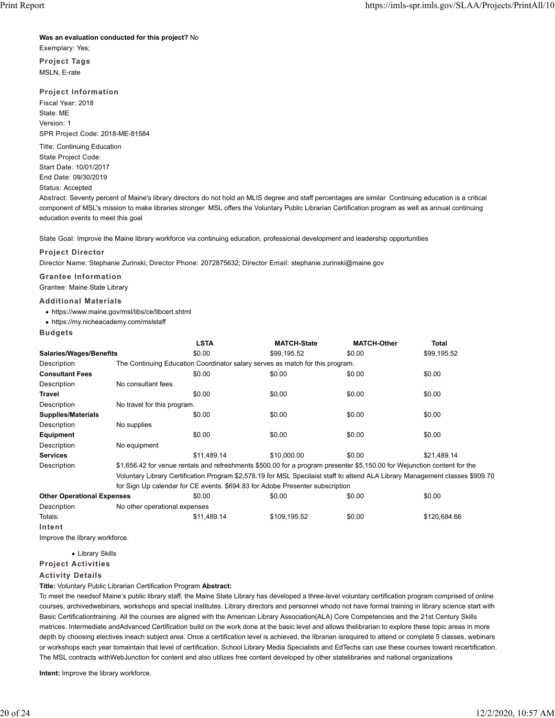#### **Was an evaluation conducted for this project?** No

Exemplary: Yes;

**Project Tags** MSLN, E-rate

### **Project Information**

Fiscal Year: 2018 State: ME Version: 1 SPR Project Code: 2018-ME-81584

Title: Continuing Education State Project Code: Start Date: 10/01/2017 End Date: 09/30/2019

Status: Accepted

Abstract: Seventy percent of Maine's library directors do not hold an MLIS degree and staff percentages are similar Continuing education is a critical component of MSL's mission to make libraries stronger MSL offers the Voluntary Public Librarian Certification program as well as annual continuing education events to meet this goal

State Goal: Improve the Maine library workforce via continuing education, professional development and leadership opportunities

#### **Project Director**

Director Name: Stephanie Zurinski; Director Phone: 2072875632; Director Email: stephanie.zurinski@maine.gov

**Grantee Information** Grantee: Maine State Library

#### **Additional Materials**

https://www.maine.gov/msl/libs/ce/libcert.shtml

https://my.nicheacademy.com/mslstaff

#### **Budgets**

|                                |                                                                                                                               | <b>LSTA</b>                                                                   | <b>MATCH-State</b> | <b>MATCH-Other</b> | <b>Total</b> |  |  |  |
|--------------------------------|-------------------------------------------------------------------------------------------------------------------------------|-------------------------------------------------------------------------------|--------------------|--------------------|--------------|--|--|--|
| <b>Salaries/Wages/Benefits</b> |                                                                                                                               | \$0.00                                                                        | \$99.195.52        | \$0.00             | \$99,195.52  |  |  |  |
| Description                    |                                                                                                                               | The Continuing Education Coordinator salary serves as match for this program. |                    |                    |              |  |  |  |
| <b>Consultant Fees</b>         |                                                                                                                               | \$0.00                                                                        | \$0.00             | \$0.00             | \$0.00       |  |  |  |
| Description                    | No consultant fees.                                                                                                           |                                                                               |                    |                    |              |  |  |  |
| <b>Travel</b>                  |                                                                                                                               | \$0.00                                                                        | \$0.00             | \$0.00             | \$0.00       |  |  |  |
| Description                    |                                                                                                                               | No travel for this program.                                                   |                    |                    |              |  |  |  |
| <b>Supplies/Materials</b>      |                                                                                                                               | \$0.00                                                                        | \$0.00             | \$0.00             | \$0.00       |  |  |  |
| Description                    | No supplies                                                                                                                   |                                                                               |                    |                    |              |  |  |  |
| Equipment                      |                                                                                                                               | \$0.00                                                                        | \$0.00             | \$0.00             | \$0.00       |  |  |  |
| Description                    | No equipment                                                                                                                  |                                                                               |                    |                    |              |  |  |  |
| <b>Services</b>                |                                                                                                                               | \$11.489.14                                                                   | \$10,000.00        | \$0.00             | \$21.489.14  |  |  |  |
| Description                    | \$1,656.42 for venue rentals and refreshments \$500.00 for a program presenter \$5,150.00 for Wejunction content for the      |                                                                               |                    |                    |              |  |  |  |
|                                | Voluntary Library Certification Program \$2,578.19 for MSL Specilaist staff to attend ALA Library Management classes \$909.70 |                                                                               |                    |                    |              |  |  |  |

for Sign Up calendar for CE events. \$694.83 for Adobe Presenter subscription

| TOT ORIGINAL TOT OF OVOITO, QUOTION NUODOT TOOCHIOI CUDOCHIPIONI |                               |             |              |        |              |  |
|------------------------------------------------------------------|-------------------------------|-------------|--------------|--------|--------------|--|
| <b>Other Operational Expenses</b>                                |                               | \$0.00      | \$0.00       | \$0.00 | \$0.00       |  |
| <b>Description</b>                                               | No other operational expenses |             |              |        |              |  |
| Totals:                                                          |                               | \$11.489.14 | \$109.195.52 | \$0.00 | \$120.684.66 |  |
| Intent                                                           |                               |             |              |        |              |  |

Improve the library workforce.

Library Skills

**Project Activities**

#### **Activity Details**

**Title:** Voluntary Public Librarian Certification Program **Abstract:**

To meet the needsof Maine's public library staff, the Maine State Library has developed a three-level voluntary certification program comprised of online courses, archivedwebinars, workshops and special institutes. Library directors and personnel whodo not have formal training in library science start with Basic Certificationtraining. All the courses are aligned with the American Library Association(ALA) Core Competencies and the 21st Century Skills matrices. Intermediate andAdvanced Certification build on the work done at the basic level and allows thelibrarian to explore these topic areas in more depth by choosing electives ineach subject area. Once a certification level is achieved, the librarian isrequired to attend or complete 5 classes, webinars or workshops each year tomaintain that level of certification. School Library Media Specialists and EdTechs can use these courses toward recertification. The MSL contracts withWebJunction for content and also utilizes free content developed by other statelibraries and national organizations

**Intent:** Improve the library workforce.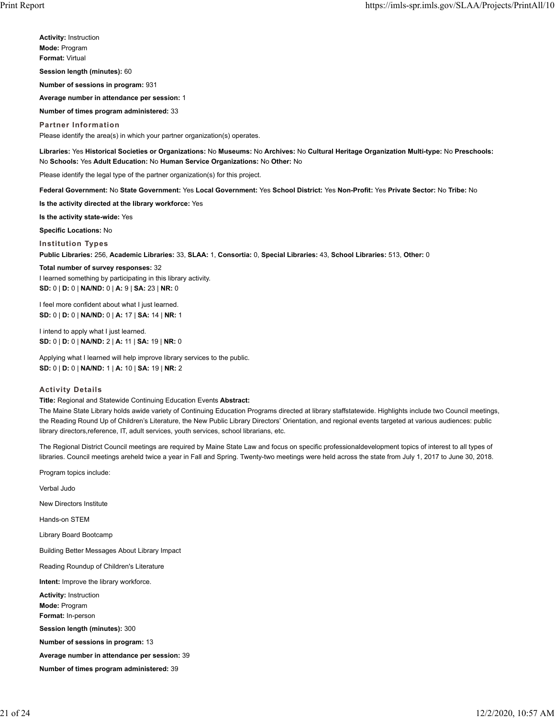**Activity:** Instruction **Mode:** Program **Format:** Virtual

**Session length (minutes):** 60

**Number of sessions in program:** 931

**Average number in attendance per session:** 1

**Number of times program administered:** 33

**Partner Information** Please identify the area(s) in which your partner organization(s) operates.

**Libraries:** Yes **Historical Societies or Organizations:** No **Museums:** No **Archives:** No **Cultural Heritage Organization Multi-type:** No **Preschools:** No **Schools:** Yes **Adult Education:** No **Human Service Organizations:** No **Other:** No

Please identify the legal type of the partner organization(s) for this project.

**Federal Government:** No **State Government:** Yes **Local Government:** Yes **School District:** Yes **Non-Profit:** Yes **Private Sector:** No **Tribe:** No

**Is the activity directed at the library workforce:** Yes

**Is the activity state-wide:** Yes

**Specific Locations:** No

**Institution Types**

**Public Libraries:** 256, **Academic Libraries:** 33, **SLAA:** 1, **Consortia:** 0, **Special Libraries:** 43, **School Libraries:** 513, **Other:** 0

#### **Total number of survey responses:** 32

I learned something by participating in this library activity. **SD:** 0 | **D:** 0 | **NA/ND:** 0 | **A:** 9 | **SA:** 23 | **NR:** 0

I feel more confident about what I just learned. **SD:** 0 | **D:** 0 | **NA/ND:** 0 | **A:** 17 | **SA:** 14 | **NR:** 1

I intend to apply what I just learned. **SD:** 0 | **D:** 0 | **NA/ND:** 2 | **A:** 11 | **SA:** 19 | **NR:** 0

Applying what I learned will help improve library services to the public. **SD:** 0 | **D:** 0 | **NA/ND:** 1 | **A:** 10 | **SA:** 19 | **NR:** 2

#### **Activity Details**

**Title:** Regional and Statewide Continuing Education Events **Abstract:**

The Maine State Library holds awide variety of Continuing Education Programs directed at library staffstatewide. Highlights include two Council meetings, the Reading Round Up of Children's Literature, the New Public Library Directors' Orientation, and regional events targeted at various audiences: public library directors,reference, IT, adult services, youth services, school librarians, etc.

The Regional District Council meetings are required by Maine State Law and focus on specific professionaldevelopment topics of interest to all types of libraries. Council meetings areheld twice a year in Fall and Spring. Twenty-two meetings were held across the state from July 1, 2017 to June 30, 2018.

Program topics include:

Verbal Judo

New Directors Institute

Hands-on STEM

Library Board Bootcamp

Building Better Messages About Library Impact

Reading Roundup of Children's Literature

**Intent:** Improve the library workforce.

**Activity:** Instruction

**Mode:** Program

**Format:** In-person

**Session length (minutes):** 300

**Number of sessions in program:** 13

**Average number in attendance per session:** 39

**Number of times program administered:** 39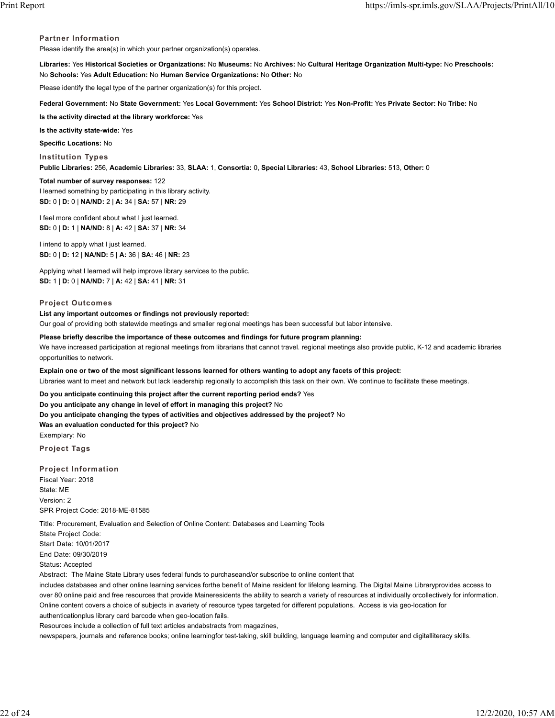### **Partner Information**

Please identify the area(s) in which your partner organization(s) operates.

**Libraries:** Yes **Historical Societies or Organizations:** No **Museums:** No **Archives:** No **Cultural Heritage Organization Multi-type:** No **Preschools:** No **Schools:** Yes **Adult Education:** No **Human Service Organizations:** No **Other:** No

Please identify the legal type of the partner organization(s) for this project.

**Federal Government:** No **State Government:** Yes **Local Government:** Yes **School District:** Yes **Non-Profit:** Yes **Private Sector:** No **Tribe:** No

**Is the activity directed at the library workforce:** Yes

**Is the activity state-wide:** Yes

**Specific Locations:** No

**Institution Types**

**Public Libraries:** 256, **Academic Libraries:** 33, **SLAA:** 1, **Consortia:** 0, **Special Libraries:** 43, **School Libraries:** 513, **Other:** 0

**Total number of survey responses:** 122

I learned something by participating in this library activity. **SD:** 0 | **D:** 0 | **NA/ND:** 2 | **A:** 34 | **SA:** 57 | **NR:** 29

I feel more confident about what I just learned. **SD:** 0 | **D:** 1 | **NA/ND:** 8 | **A:** 42 | **SA:** 37 | **NR:** 34

I intend to apply what I just learned. **SD:** 0 | **D:** 12 | **NA/ND:** 5 | **A:** 36 | **SA:** 46 | **NR:** 23

Applying what I learned will help improve library services to the public. **SD:** 1 | **D:** 0 | **NA/ND:** 7 | **A:** 42 | **SA:** 41 | **NR:** 31

### **Project Outcomes**

### **List any important outcomes or findings not previously reported:**

Our goal of providing both statewide meetings and smaller regional meetings has been successful but labor intensive.

**Please briefly describe the importance of these outcomes and findings for future program planning:** We have increased participation at regional meetings from librarians that cannot travel. regional meetings also provide public, K-12 and academic libraries opportunities to network.

**Explain one or two of the most significant lessons learned for others wanting to adopt any facets of this project:**

Libraries want to meet and network but lack leadership regionally to accomplish this task on their own. We continue to facilitate these meetings.

**Do you anticipate continuing this project after the current reporting period ends?** Yes

**Do you anticipate any change in level of effort in managing this project?** No

**Do you anticipate changing the types of activities and objectives addressed by the project?** No

**Was an evaluation conducted for this project?** No

Exemplary: No

**Project Tags**

**Project Information** Fiscal Year: 2018 State: ME Version: 2 SPR Project Code: 2018-ME-81585

Title: Procurement, Evaluation and Selection of Online Content: Databases and Learning Tools

State Project Code: Start Date: 10/01/2017 End Date: 09/30/2019 Status: Accepted

Abstract: The Maine State Library uses federal funds to purchaseand/or subscribe to online content that

includes databases and other online learning services forthe benefit of Maine resident for lifelong learning. The Digital Maine Libraryprovides access to over 80 online paid and free resources that provide Maineresidents the ability to search a variety of resources at individually orcollectively for information. Online content covers a choice of subjects in avariety of resource types targeted for different populations. Access is via geo-location for authenticationplus library card barcode when geo-location fails.

Resources include a collection of full text articles andabstracts from magazines,

newspapers, journals and reference books; online learningfor test-taking, skill building, language learning and computer and digitalliteracy skills.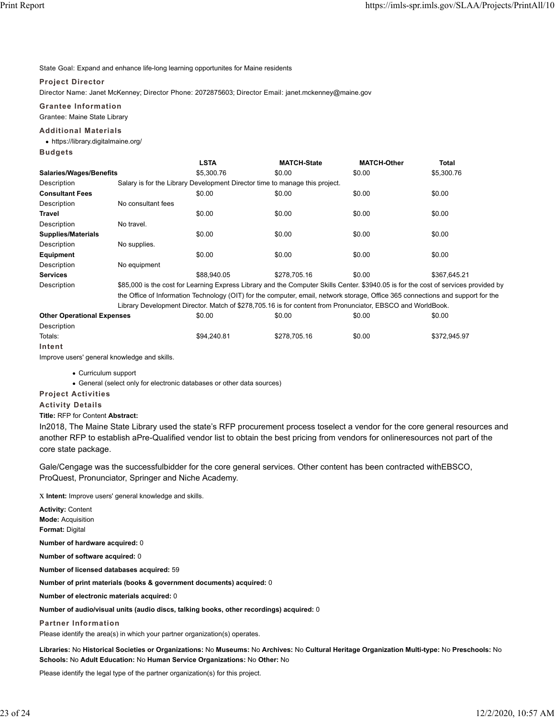State Goal: Expand and enhance life-long learning opportunites for Maine residents

### **Project Director**

Director Name: Janet McKenney; Director Phone: 2072875603; Director Email: janet.mckenney@maine.gov

**Grantee Information**

Grantee: Maine State Library

### **Additional Materials**

https://library.digitalmaine.org/

**Budgets**

|                           |                                                                                                                                     | <b>LSTA</b>                                                                 | <b>MATCH-State</b> | <b>MATCH-Other</b> | <b>Total</b> |  |  |  |
|---------------------------|-------------------------------------------------------------------------------------------------------------------------------------|-----------------------------------------------------------------------------|--------------------|--------------------|--------------|--|--|--|
| Salaries/Wages/Benefits   |                                                                                                                                     | \$5,300.76                                                                  | \$0.00             | \$0.00             | \$5,300.76   |  |  |  |
| Description               |                                                                                                                                     | Salary is for the Library Development Director time to manage this project. |                    |                    |              |  |  |  |
| <b>Consultant Fees</b>    |                                                                                                                                     | \$0.00                                                                      | \$0.00             | \$0.00             | \$0.00       |  |  |  |
| Description               | No consultant fees                                                                                                                  |                                                                             |                    |                    |              |  |  |  |
| Travel                    |                                                                                                                                     | \$0.00                                                                      | \$0.00             | \$0.00             | \$0.00       |  |  |  |
| Description               | No travel.                                                                                                                          |                                                                             |                    |                    |              |  |  |  |
| <b>Supplies/Materials</b> |                                                                                                                                     | \$0.00                                                                      | \$0.00             | \$0.00             | \$0.00       |  |  |  |
| Description               | No supplies.                                                                                                                        |                                                                             |                    |                    |              |  |  |  |
| Equipment                 |                                                                                                                                     | \$0.00                                                                      | \$0.00             | \$0.00             | \$0.00       |  |  |  |
| Description               | No equipment                                                                                                                        |                                                                             |                    |                    |              |  |  |  |
| <b>Services</b>           |                                                                                                                                     | \$88,940.05                                                                 | \$278.705.16       | \$0.00             | \$367.645.21 |  |  |  |
| Description               | \$85,000 is the cost for Learning Express Library and the Computer Skills Center. \$3940.05 is for the cost of services provided by |                                                                             |                    |                    |              |  |  |  |
|                           | the Office of before other Technology (OIT) foother committee and included attacks. Office OOT commentation on the manufacture      |                                                                             |                    |                    |              |  |  |  |

the Office of Information Technology (OIT) for the computer, email, network storage, Office 365 connections and support for the Library Development Director. Match of \$278,705.16 is for content from Pronunciator, EBSCO and WorldBook.

| <b>Other Operational Expenses</b> | \$0.00      | \$0.00       | \$0.00 | \$0.00       |
|-----------------------------------|-------------|--------------|--------|--------------|
| Description                       |             |              |        |              |
| Totals:                           | \$94,240.81 | \$278.705.16 | \$0.00 | \$372.945.97 |
| Intent                            |             |              |        |              |

Improve users' general knowledge and skills.

Curriculum support

General (select only for electronic databases or other data sources)

**Project Activities**

**Activity Details**

#### **Title:** RFP for Content **Abstract:**

In2018, The Maine State Library used the state's RFP procurement process toselect a vendor for the core general resources and another RFP to establish aPre-Qualified vendor list to obtain the best pricing from vendors for onlineresources not part of the core state package.

Gale/Cengage was the successfulbidder for the core general services. Other content has been contracted withEBSCO, ProQuest, Pronunciator, Springer and Niche Academy.

x **Intent:** Improve users' general knowledge and skills.

**Activity:** Content **Mode:** Acquisition **Format:** Digital **Number of hardware acquired:** 0 **Number of software acquired:** 0 **Number of licensed databases acquired:** 59 **Number of print materials (books & government documents) acquired:** 0 **Number of electronic materials acquired:** 0 **Number of audio/visual units (audio discs, talking books, other recordings) acquired:** 0 **Partner Information** Please identify the area(s) in which your partner organization(s) operates.

**Libraries:** No **Historical Societies or Organizations:** No **Museums:** No **Archives:** No **Cultural Heritage Organization Multi-type:** No **Preschools:** No **Schools:** No **Adult Education:** No **Human Service Organizations:** No **Other:** No

Please identify the legal type of the partner organization(s) for this project.